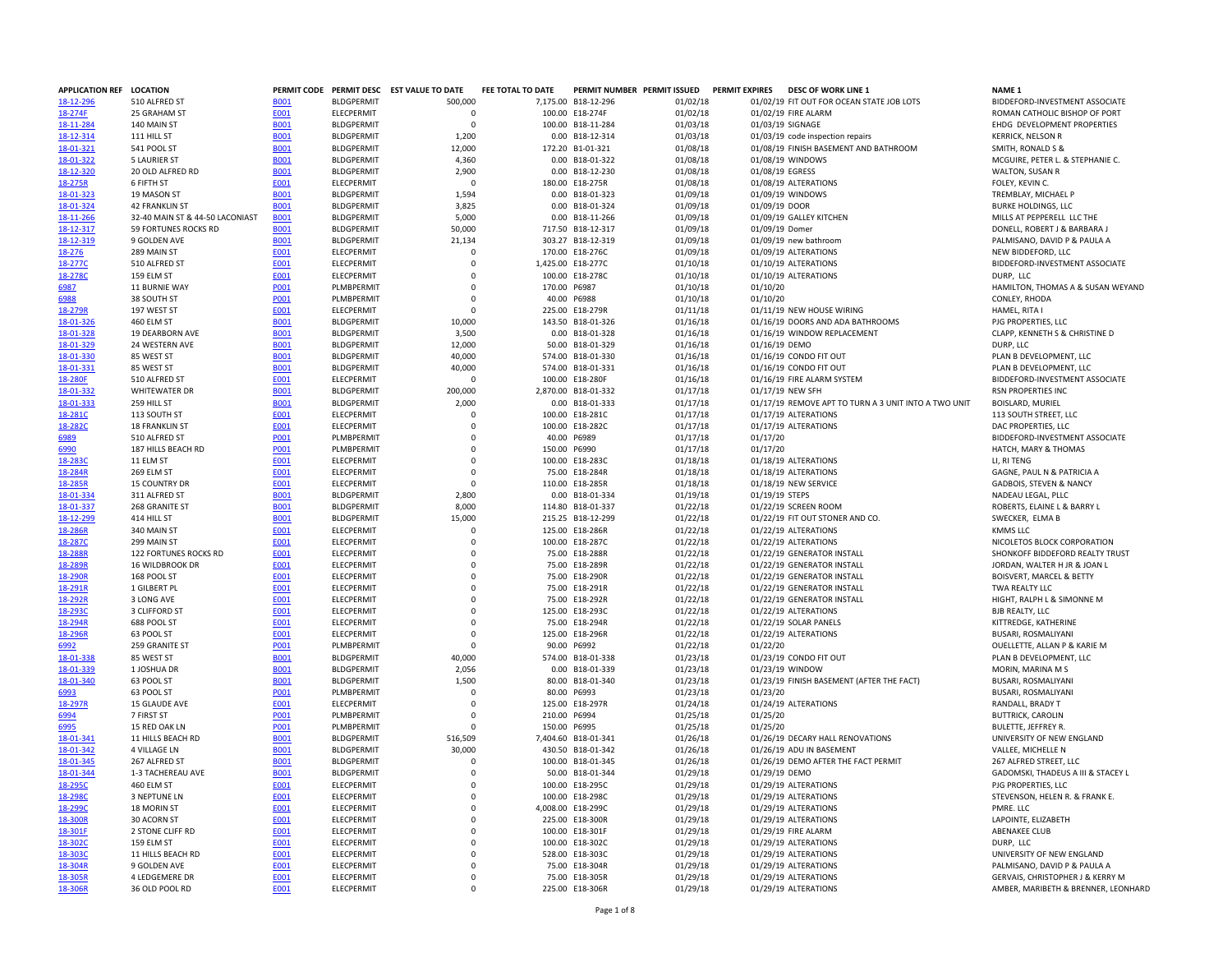| APPLICATION REF LOCATION |                                      |                     |                                        | PERMIT CODE PERMIT DESC EST VALUE TO DATE | FEE TOTAL TO DATE | PERMIT NUMBER PERMIT ISSUED            |                      |                | PERMIT EXPIRES DESC OF WORK LINE 1                   | NAME <sub>1</sub>                                  |
|--------------------------|--------------------------------------|---------------------|----------------------------------------|-------------------------------------------|-------------------|----------------------------------------|----------------------|----------------|------------------------------------------------------|----------------------------------------------------|
| 18-12-296                | 510 ALFRED ST                        | <b>B001</b>         | <b>BLDGPERMIT</b>                      | 500,000                                   |                   | 7,175.00 B18-12-296                    | 01/02/18             |                | 01/02/19 FIT OUT FOR OCEAN STATE JOB LOTS            | BIDDEFORD-INVESTMENT ASSOCIATE                     |
| 18-274F                  | 25 GRAHAM ST                         | E001                | <b>ELECPERMIT</b>                      | $\mathbf 0$                               |                   | 100.00 E18-274F                        | 01/02/18             |                | 01/02/19 FIRE ALARM                                  | ROMAN CATHOLIC BISHOP OF PORT                      |
| 18-11-284                | 140 MAIN ST                          | <b>B001</b>         | <b>BLDGPERMIT</b>                      | $\Omega$                                  |                   | 100.00 B18-11-284                      | 01/03/18             |                | 01/03/19 SIGNAGE                                     | EHDG DEVELOPMENT PROPERTIES                        |
| 18-12-314                | 111 HILL ST                          | <b>B001</b>         | <b>BLDGPERMIT</b>                      | 1,200                                     |                   | 0.00 B18-12-314                        | 01/03/18             |                | 01/03/19 code inspection repairs                     | <b>KERRICK, NELSON R</b>                           |
| 18-01-321                | 541 POOL ST                          | <b>B001</b>         | <b>BLDGPERMIT</b>                      | 12,000                                    |                   | 172.20 B1-01-321                       | 01/08/18             |                | 01/08/19 FINISH BASEMENT AND BATHROOM                | SMITH, RONALD S &                                  |
| 18-01-322                | <b>5 LAURIER ST</b>                  | <b>B001</b>         | <b>BLDGPERMIT</b>                      | 4,360                                     |                   | 0.00 B18-01-322                        | 01/08/18             |                | 01/08/19 WINDOWS                                     | MCGUIRE, PETER L. & STEPHANIE C.                   |
| 18-12-320                | 20 OLD ALFRED RD                     | <b>B001</b>         | <b>BLDGPERMIT</b>                      | 2,900                                     |                   | 0.00 B18-12-230                        | 01/08/18             |                | 01/08/19 EGRESS                                      | WALTON, SUSAN R                                    |
| 18-275R                  | 6 FIFTH ST                           | <b>E001</b>         | <b>ELECPERMIT</b>                      | $\Omega$                                  |                   | 180.00 E18-275R                        | 01/08/18             |                | 01/08/19 ALTERATIONS                                 | FOLEY, KEVIN C.                                    |
| 18-01-323                | 19 MASON ST                          | <b>B001</b>         | <b>BLDGPERMIT</b>                      | 1,594                                     |                   | 0.00 B18-01-323                        | 01/09/18             |                | 01/09/19 WINDOWS                                     | TREMBLAY, MICHAEL P                                |
| 18-01-324                | <b>42 FRANKLIN ST</b>                | <b>B001</b>         | <b>BLDGPFRMIT</b>                      | 3,825                                     |                   | 0.00 B18-01-324                        | 01/09/18             | 01/09/19 DOOR  |                                                      | <b>BURKE HOLDINGS, LLC</b>                         |
| 18-11-266                | 32-40 MAIN ST & 44-50 LACONIAST      | <b>B001</b>         | <b>BLDGPERMIT</b>                      | 5,000                                     |                   | 0.00 B18-11-266                        | 01/09/18             |                | 01/09/19 GALLEY KITCHEN                              | MILLS AT PEPPERELL LLC THE                         |
| 18-12-317                | 59 FORTUNES ROCKS RD<br>9 GOLDEN AVE | <b>B001</b>         | <b>BLDGPERMIT</b><br><b>BLDGPERMIT</b> | 50,000                                    |                   | 717.50 B18-12-317<br>303.27 B18-12-319 | 01/09/18             | 01/09/19 Domer |                                                      | DONELL, ROBERT J & BARBARA J                       |
| 18-12-319                | 289 MAIN ST                          | <b>B001</b>         | ELECPERMIT                             | 21,134<br>0                               |                   | 170.00 E18-276C                        | 01/09/18<br>01/09/18 |                | 01/09/19 new bathroom                                | PALMISANO, DAVID P & PAULA A<br>NEW BIDDEFORD, LLC |
| 18-276<br>18-277C        | 510 ALFRED ST                        | <b>E001</b><br>E001 | ELECPERMIT                             | $\mathbf 0$                               |                   | 1,425.00 E18-277C                      | 01/10/18             |                | 01/09/19 ALTERATIONS<br>01/10/19 ALTERATIONS         | BIDDEFORD-INVESTMENT ASSOCIATE                     |
| 18-278C                  | 159 ELM ST                           | E001                | ELECPERMIT                             | $\mathbf 0$                               |                   | 100.00 E18-278C                        | 01/10/18             |                | 01/10/19 ALTERATIONS                                 | DURP. LLC                                          |
| 6987                     | 11 BURNIE WAY                        | <b>P001</b>         | PLMBPERMIT                             | $\mathbf 0$                               | 170.00 P6987      |                                        | 01/10/18             | 01/10/20       |                                                      | HAMILTON. THOMAS A & SUSAN WEYAND                  |
| 6988                     | 38 SOUTH ST                          | P001                | PLMBPERMIT                             | 0                                         | 40.00             | P6988                                  | 01/10/18             | 01/10/20       |                                                      | CONLEY, RHODA                                      |
| 18-279R                  | 197 WEST ST                          | E001                | ELECPERMIT                             | $\mathbf 0$                               |                   | 225.00 E18-279R                        | 01/11/18             |                | 01/11/19 NEW HOUSE WIRING                            | HAMEL, RITA I                                      |
| 18-01-326                | 460 ELM ST                           | <b>B001</b>         | <b>BLDGPERMIT</b>                      | 10,000                                    |                   | 143.50 B18-01-326                      | 01/16/18             |                | 01/16/19 DOORS AND ADA BATHROOMS                     | PJG PROPERTIES, LLC                                |
| 18-01-328                | 19 DEARBORN AVE                      | <b>B001</b>         | <b>BLDGPERMIT</b>                      | 3.500                                     |                   | 0.00 B18-01-328                        | 01/16/18             |                | 01/16/19 WINDOW REPLACEMENT                          | CLAPP, KENNETH S & CHRISTINE D                     |
| 18-01-329                | 24 WESTERN AVE                       | <b>B001</b>         | <b>BLDGPERMIT</b>                      | 12,000                                    |                   | 50.00 B18-01-329                       | 01/16/18             | 01/16/19 DEMO  |                                                      | DURP, LLC                                          |
| 18-01-330                | 85 WEST ST                           | <b>B001</b>         | <b>BLDGPERMIT</b>                      | 40,000                                    |                   | 574.00 B18-01-330                      | 01/16/18             |                | 01/16/19 CONDO FIT OUT                               | PLAN B DEVELOPMENT, LLC                            |
| 18-01-331                | 85 WEST ST                           | <b>B001</b>         | <b>BLDGPERMIT</b>                      | 40,000                                    |                   | 574.00 B18-01-331                      | 01/16/18             |                | 01/16/19 CONDO FIT OUT                               | PLAN B DEVELOPMENT, LLC                            |
| 18-280F                  | 510 ALFRED ST                        | <b>E001</b>         | ELECPERMIT                             | $\Omega$                                  |                   | 100.00 E18-280F                        | 01/16/18             |                | 01/16/19 FIRE ALARM SYSTEM                           | BIDDEFORD-INVESTMENT ASSOCIATE                     |
| 18-01-332                | WHITEWATER DR                        | <b>B001</b>         | <b>BLDGPERMIT</b>                      | 200,000                                   |                   | 2,870.00 B18-01-332                    | 01/17/18             |                | 01/17/19 NEW SFH                                     | RSN PROPERTIES INC                                 |
| 18-01-333                | 259 HILL ST                          | <b>B001</b>         | <b>BLDGPFRMIT</b>                      | 2,000                                     |                   | 0.00 B18-01-333                        | 01/17/18             |                | 01/17/19 REMOVE APT TO TURN A 3 UNIT INTO A TWO UNIT | BOISLARD, MURIEL                                   |
| 18-281C                  | 113 SOUTH ST                         | E001                | ELECPERMIT                             | $\Omega$                                  |                   | 100.00 E18-281C                        | 01/17/18             |                | 01/17/19 ALTERATIONS                                 | 113 SOUTH STREET, LLC                              |
| 18-282C                  | <b>18 FRANKLIN ST</b>                | E001                | ELECPERMIT                             | $\Omega$                                  |                   | 100.00 E18-282C                        | 01/17/18             |                | 01/17/19 ALTERATIONS                                 | DAC PROPERTIES, LLC                                |
| 6989                     | 510 ALFRED ST                        | <b>P001</b>         | PLMBPERMIT                             | $\mathbf 0$                               |                   | 40.00 P6989                            | 01/17/18             | 01/17/20       |                                                      | BIDDEFORD-INVESTMENT ASSOCIATE                     |
| 6990                     | 187 HILLS BEACH RD                   | P001                | <b>PLMBPERMIT</b>                      | $\mathbf 0$                               | 150.00 P6990      |                                        | 01/17/18             | 01/17/20       |                                                      | HATCH, MARY & THOMAS                               |
| 18-283C                  | 11 ELM ST                            | E001                | <b>ELECPERMIT</b>                      | $\mathbf 0$                               |                   | 100.00 E18-283C                        | 01/18/18             |                | 01/18/19 ALTERATIONS                                 | LI. RI TENG                                        |
| 18-284R                  | 269 ELM ST                           | <b>E001</b>         | ELECPERMIT                             | $\mathbf 0$                               |                   | 75.00 E18-284R                         | 01/18/18             |                | 01/18/19 ALTERATIONS                                 | GAGNE, PAUL N & PATRICIA A                         |
| 18-285R                  | <b>15 COUNTRY DR</b>                 | E001                | ELECPERMIT                             | $\mathbf 0$                               |                   | 110.00 E18-285R                        | 01/18/18             |                | 01/18/19 NEW SERVICE                                 | <b>GADBOIS, STEVEN &amp; NANCY</b>                 |
| 18-01-334                | 311 ALFRED ST                        | <b>B001</b>         | <b>BLDGPERMIT</b>                      | 2,800                                     |                   | 0.00 B18-01-334                        | 01/19/18             | 01/19/19 STEPS |                                                      | NADEAU LEGAL, PLLC                                 |
| 18-01-337                | 268 GRANITE ST                       | <b>B001</b>         | <b>BLDGPERMIT</b>                      | 8.000                                     |                   | 114.80 B18-01-337                      | 01/22/18             |                | 01/22/19 SCREEN ROOM                                 | ROBERTS, ELAINE L & BARRY L                        |
| 18-12-299                | 414 HILL ST                          | <b>B001</b>         | <b>BLDGPERMIT</b>                      | 15,000                                    |                   | 215.25 B18-12-299                      | 01/22/18             |                | 01/22/19 FIT OUT STONER AND CO.                      | SWECKER, ELMA B                                    |
| 18-286R                  | 340 MAIN ST                          | E001                | ELECPERMIT                             | $\mathbf 0$                               |                   | 125.00 E18-286R                        | 01/22/18             |                | 01/22/19 ALTERATIONS                                 | <b>KMMS LLC</b>                                    |
| 18-287C                  | 299 MAIN ST                          | E001                | ELECPERMIT                             | $\mathbf 0$                               |                   | 100.00 E18-287C                        | 01/22/18             |                | 01/22/19 ALTERATIONS                                 | NICOLETOS BLOCK CORPORATION                        |
| 18-288R                  | 122 FORTUNES ROCKS RD                | E001                | ELECPERMIT                             | $\Omega$                                  |                   | 75.00 E18-288R                         | 01/22/18             |                | 01/22/19 GENERATOR INSTALL                           | SHONKOFF BIDDEFORD REALTY TRUST                    |
| 18-289R                  | 16 WILDBROOK DR                      | <b>E001</b>         | ELECPERMIT                             | 0                                         |                   | 75.00 E18-289R                         | 01/22/18             |                | 01/22/19 GENERATOR INSTALL                           | JORDAN, WALTER H JR & JOAN L                       |
| 18-290R                  | 168 POOL ST                          | E001                | ELECPERMIT                             | $\mathbf 0$                               |                   | 75.00 E18-290R                         | 01/22/18             |                | 01/22/19 GENERATOR INSTALL                           | <b>BOISVERT, MARCEL &amp; BETTY</b>                |
| 18-291R                  | 1 GILBERT PL                         | E001                | ELECPERMIT                             | $\mathbf 0$                               |                   | 75.00 E18-291R                         | 01/22/18             |                | 01/22/19 GENERATOR INSTALL                           | TWA REALTY LLC                                     |
| 18-292R                  | 3 LONG AVE                           | E001                | ELECPERMIT                             | $\Omega$                                  |                   | 75.00 E18-292R                         | 01/22/18             |                | 01/22/19 GENERATOR INSTALL                           | HIGHT, RALPH L & SIMONNE M                         |
| 18-2930                  | 3 CLIFFORD ST                        | <b>E001</b>         | ELECPERMIT                             | $\mathsf 0$                               |                   | 125.00 E18-293C                        | 01/22/18             |                | 01/22/19 ALTERATIONS                                 | <b>BJB REALTY, LLC</b>                             |
| 18-294R                  | 688 POOL ST                          | E001                | ELECPERMIT                             | $\mathbf 0$                               |                   | 75.00 E18-294R                         | 01/22/18             |                | 01/22/19 SOLAR PANELS                                | KITTREDGE, KATHERINE                               |
| 18-296R                  | 63 POOL ST                           | E001                | ELECPERMIT                             | $\mathbf 0$                               |                   | 125.00 E18-296R                        | 01/22/18             |                | 01/22/19 ALTERATIONS                                 | BUSARI, ROSMALIYANI                                |
| 6992                     | 259 GRANITE ST                       | P001                | PLMBPERMIT                             | $\Omega$                                  | 90.00 P6992       |                                        | 01/22/18             | 01/22/20       |                                                      | OUELLETTE, ALLAN P & KARIE M                       |
| 18-01-338                | 85 WEST ST                           | <b>B001</b>         | <b>BLDGPERMIT</b>                      | 40,000                                    |                   | 574.00 B18-01-338                      | 01/23/18             |                | 01/23/19 CONDO FIT OUT                               | PLAN B DEVELOPMENT, LLC                            |
| 18-01-339                | 1 JOSHUA DR                          | <b>BOO1</b>         | <b>BLDGPERMIT</b>                      | 2,056                                     |                   | 0.00 B18-01-339                        | 01/23/18             |                | 01/23/19 WINDOW                                      | MORIN, MARINA M S                                  |
| 18-01-340                | 63 POOL ST                           | <b>B001</b>         | <b>BLDGPFRMIT</b>                      | 1.500                                     |                   | 80.00 B18-01-340                       | 01/23/18             |                | 01/23/19 FINISH BASEMENT (AFTER THE FACT)            | BUSARI, ROSMALIYANI                                |
| 6993                     | 63 POOL ST                           | P001                | PLMBPERMIT                             | $\Omega$                                  |                   | 80.00 P6993                            | 01/23/18             | 01/23/20       |                                                      | BUSARI, ROSMALIYANI                                |
| 18-297R                  | 15 GLAUDE AVE                        | E001                | ELECPERMIT                             | $\mathbf 0$                               |                   | 125.00 E18-297R                        | 01/24/18             |                | 01/24/19 ALTERATIONS                                 | RANDALL, BRADY T                                   |
| 6994                     | 7 FIRST ST                           | P001                | PLMBPERMIT                             | $\Omega$                                  | 210.00 P6994      |                                        | 01/25/18             | 01/25/20       |                                                      | <b>BUTTRICK, CAROLIN</b>                           |
| 6995                     | 15 RED OAK LN                        | <b>PO01</b>         | PLMBPERMIT                             | $\Omega$                                  | 150.00 P6995      |                                        | 01/25/18             | 01/25/20       |                                                      | <b>BULETTE, JEFFREY R.</b>                         |
| 18-01-341                | 11 HILLS BEACH RD                    | <b>B001</b>         | <b>BLDGPERMIT</b>                      | 516,509                                   |                   | 7,404.60 B18-01-341                    | 01/26/18             |                | 01/26/19 DECARY HALL RENOVATIONS                     | UNIVERSITY OF NEW ENGLAND                          |
| 18-01-342                | <b>4 VILLAGE LN</b>                  | <b>B001</b>         | <b>BLDGPERMIT</b>                      | 30,000                                    |                   | 430.50 B18-01-342                      | 01/26/18             |                | 01/26/19 ADU IN BASEMENT                             | VALLEE, MICHELLE N                                 |
| 18-01-345                | 267 ALFRED ST                        | <b>B001</b>         | <b>BLDGPERMIT</b>                      | $\mathbf 0$                               |                   | 100.00 B18-01-345                      | 01/26/18             |                | 01/26/19 DEMO AFTER THE FACT PERMIT                  | 267 ALFRED STREET, LLC                             |
| 18-01-344                | 1-3 TACHEREAU AVE                    | <b>B001</b>         | <b>BLDGPFRMIT</b>                      | $\Omega$                                  |                   | 50.00 B18-01-344                       | 01/29/18             | 01/29/19 DEMO  |                                                      | GADOMSKI, THADEUS A III & STACEY L                 |
| 18-295C                  | 460 ELM ST                           | <b>E001</b>         | ELECPERMIT                             | $\Omega$                                  |                   | 100.00 E18-295C                        | 01/29/18             |                | 01/29/19 ALTERATIONS                                 | PJG PROPERTIES, LLC                                |
| 18-298C                  | 3 NEPTUNE LN                         | E001                | ELECPERMIT                             | $\mathbf 0$                               |                   | 100.00 E18-298C                        | 01/29/18             |                | 01/29/19 ALTERATIONS                                 | STEVENSON, HELEN R. & FRANK E.                     |
| 18-299C                  | 18 MORIN ST                          | E001                | ELECPERMIT                             | $\mathbf 0$                               |                   | 4,008.00 E18-299C                      | 01/29/18             |                | 01/29/19 ALTERATIONS                                 | PMRE. LLC                                          |
| 18-300R                  | 30 ACORN ST                          | <b>E001</b>         | <b>ELECPERMIT</b>                      | $\mathbf 0$                               |                   | 225.00 E18-300R                        | 01/29/18             |                | 01/29/19 ALTERATIONS                                 | LAPOINTE, ELIZABETH                                |
| 18-301F                  | 2 STONE CLIFF RD                     | E001                | ELECPERMIT                             | 0                                         |                   | 100.00 E18-301F                        | 01/29/18             |                | 01/29/19 FIRE ALARM                                  | <b>ABENAKEE CLUB</b>                               |
| 18-3020                  | 159 ELM ST                           | E001                | <b>ELECPERMIT</b>                      | $\mathbf 0$                               |                   | 100.00 E18-302C                        | 01/29/18             |                | 01/29/19 ALTERATIONS                                 | DURP, LLC                                          |
| 18-3030                  | 11 HILLS BEACH RD                    | E001                | ELECPERMIT                             | $\mathbf 0$                               |                   | 528.00 E18-303C                        | 01/29/18             |                | 01/29/19 ALTERATIONS                                 | UNIVERSITY OF NEW ENGLAND                          |
| 18-304R                  | 9 GOLDEN AVE                         | E001                | <b>ELECPERMIT</b>                      | $\Omega$                                  |                   | 75.00 E18-304R                         | 01/29/18             |                | 01/29/19 ALTERATIONS                                 | PALMISANO, DAVID P & PAULA A                       |
| 18-305R                  | 4 LEDGEMERE DR                       | E001                | ELECPERMIT                             | $\Omega$                                  |                   | 75.00 E18-305R                         | 01/29/18             |                | 01/29/19 ALTERATIONS                                 | GERVAIS, CHRISTOPHER J & KERRY M                   |
| 18-306R                  | 36 OLD POOL RD                       | <b>E001</b>         | <b>ELECPERMIT</b>                      | $\mathbf 0$                               |                   | 225.00 E18-306R                        | 01/29/18             |                | 01/29/19 ALTERATIONS                                 | AMBER, MARIBETH & BRENNER, LEONHARD                |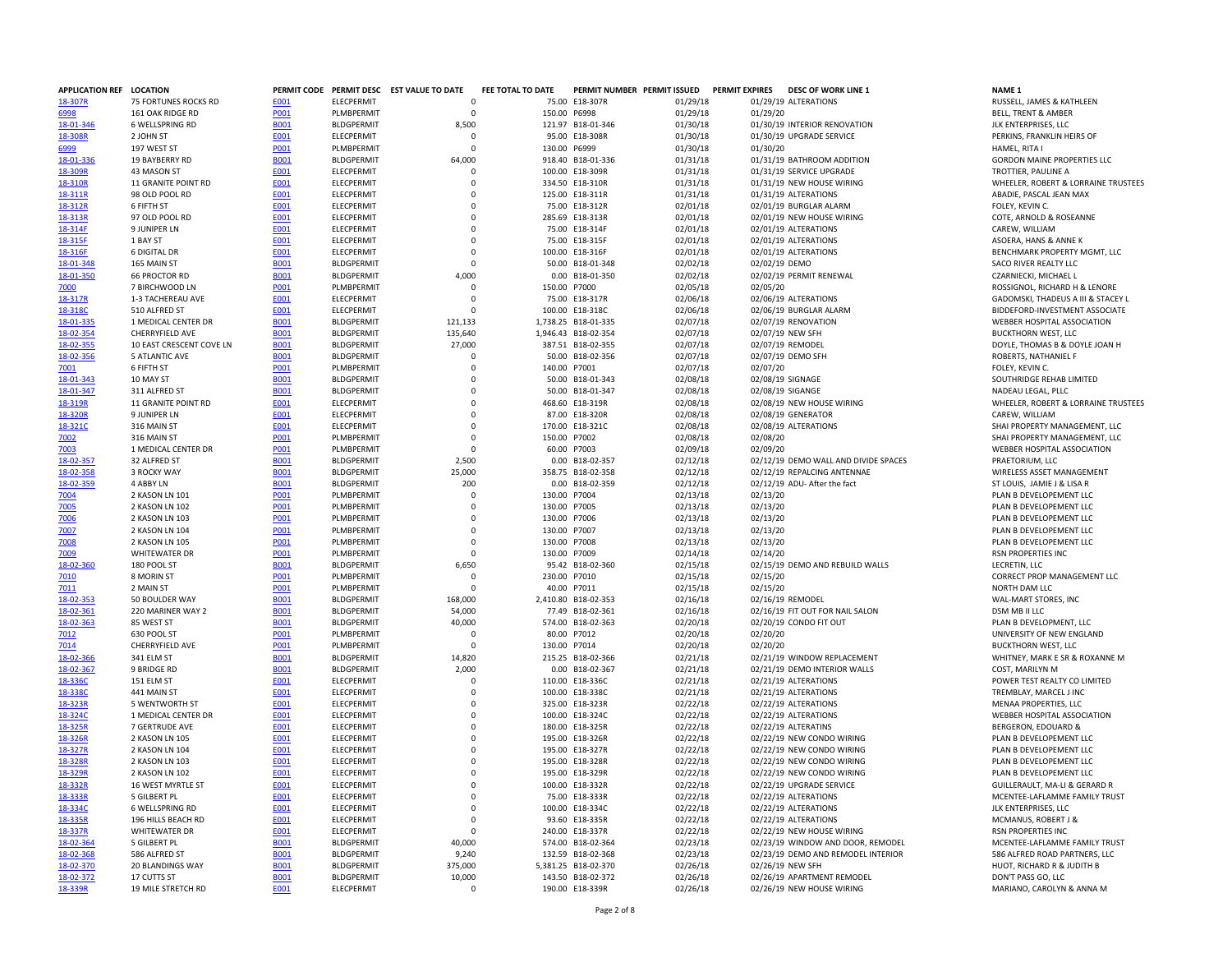| APPLICATION REF LOCATION |                          |             |                   | PERMIT CODE PERMIT DESC EST VALUE TO DATE | FEE TOTAL TO DATE |                     | PERMIT NUMBER PERMIT ISSUED | <b>PERMIT EXPIRES</b> | <b>DESC OF WORK LINE 1</b>           | <b>NAME 1</b>                  |                                    |
|--------------------------|--------------------------|-------------|-------------------|-------------------------------------------|-------------------|---------------------|-----------------------------|-----------------------|--------------------------------------|--------------------------------|------------------------------------|
| 18-307R                  | 75 FORTUNES ROCKS RD     | E001        | <b>ELECPERMIT</b> | $\Omega$                                  |                   | 75.00 E18-307R      | 01/29/18                    |                       | 01/29/19 ALTERATIONS                 |                                | RUSSELL, JAMES & KATHLEEN          |
|                          | 161 OAK RIDGE RD         | P001        | PLMBPERMIT        | $\Omega$                                  |                   | 150.00 P6998        | 01/29/18                    | 01/29/20              |                                      | <b>BELL, TRENT &amp; AMBER</b> |                                    |
| 18-01-346                | 6 WELLSPRING RD          | <b>B001</b> | <b>BLDGPERMIT</b> | 8,500                                     |                   | 121.97 B18-01-346   | 01/30/18                    |                       | 01/30/19 INTERIOR RENOVATION         | JLK ENTERPRISES, LLC           |                                    |
| 18-308R                  | 2 JOHN ST                | E001        | ELECPERMIT        | $^{\circ}$                                |                   | 95.00 E18-308R      | 01/30/18                    |                       | 01/30/19 UPGRADE SERVICE             |                                | PERKINS, FRANKLIN HEIRS OF         |
| 6999                     | 197 WEST ST              | <b>PO01</b> | PLMBPERMIT        | $\Omega$                                  | 130.00 P6999      |                     | 01/30/18                    | 01/30/20              |                                      | HAMEL, RITA I                  |                                    |
| 18-01-336                | 19 BAYBERRY RD           | <b>B001</b> | <b>BLDGPERMIT</b> | 64,000                                    |                   | 918.40 B18-01-336   | 01/31/18                    |                       | 01/31/19 BATHROOM ADDITION           |                                | <b>GORDON MAINE PROPERTIES LLC</b> |
|                          |                          |             |                   |                                           |                   |                     |                             |                       |                                      |                                |                                    |
| 18-309R                  | 43 MASON ST              | E001        | ELECPERMIT        | $\mathbf 0$                               |                   | 100.00 E18-309R     | 01/31/18                    |                       | 01/31/19 SERVICE UPGRADE             | TROTTIER, PAULINE A            |                                    |
| 18-310R                  | 11 GRANITE POINT RD      | E001        | ELECPERMIT        | $\Omega$                                  |                   | 334.50 E18-310R     | 01/31/18                    |                       | 01/31/19 NEW HOUSE WIRING            |                                | WHEELER, ROBERT & LORRAINE         |
| 18-311R                  | 98 OLD POOL RD           | <b>E001</b> | ELECPERMIT        | $\Omega$                                  |                   | 125.00 E18-311R     | 01/31/18                    |                       | 01/31/19 ALTERATIONS                 | ABADIE, PASCAL JEAN MAX        |                                    |
| 18-312R                  | 6 FIFTH ST               | E001        | ELECPERMIT        | 0                                         |                   | 75.00 E18-312R      | 02/01/18                    |                       | 02/01/19 BURGLAR ALARM               | FOLEY, KEVIN C.                |                                    |
| 18-313R                  | 97 OLD POOL RD           | E001        | ELECPERMIT        | 0                                         |                   | 285.69 E18-313R     | 02/01/18                    |                       | 02/01/19 NEW HOUSE WIRING            |                                | COTE, ARNOLD & ROSEANNE            |
| 18-314F                  | 9 JUNIPER LN             | E001        | ELECPERMIT        | 0                                         |                   | 75.00 E18-314F      | 02/01/18                    |                       | 02/01/19 ALTERATIONS                 | CAREW, WILLIAM                 |                                    |
| 18-315F                  | 1 BAY ST                 | <b>E001</b> | ELECPERMIT        | $\Omega$                                  |                   | 75.00 E18-315F      | 02/01/18                    |                       | 02/01/19 ALTERATIONS                 | ASOERA, HANS & ANNE K          |                                    |
| 18-316F                  | <b>6 DIGITAL DR</b>      | E001        | ELECPERMIT        | $\Omega$                                  |                   | 100.00 E18-316F     | 02/01/18                    |                       | 02/01/19 ALTERATIONS                 |                                | BENCHMARK PROPERTY MGMT,           |
|                          | 165 MAIN ST              | <b>B001</b> | <b>BLDGPERMIT</b> | $\mathbf 0$                               |                   | 50.00 B18-01-348    | 02/02/18                    | 02/02/19 DEMO         |                                      | SACO RIVER REALTY LLC          |                                    |
| 18-01-348                |                          |             |                   |                                           |                   |                     |                             |                       |                                      |                                |                                    |
| 18-01-350                | <b>66 PROCTOR RD</b>     | <b>B001</b> | <b>BLDGPERMIT</b> | 4,000                                     |                   | 0.00 B18-01-350     | 02/02/18                    |                       | 02/02/19 PERMIT RENEWAL              | CZARNIECKI, MICHAEL L          |                                    |
| 7000                     | 7 BIRCHWOOD LN           | P001        | PLMBPERMIT        | $\Omega$                                  |                   | 150.00 P7000        | 02/05/18                    | 02/05/20              |                                      |                                | ROSSIGNOL, RICHARD H & LENOI       |
| 18-317R                  | 1-3 TACHEREAU AVE        | E001        | ELECPERMIT        | $\mathbf 0$                               |                   | 75.00 E18-317R      | 02/06/18                    |                       | 02/06/19 ALTERATIONS                 |                                | GADOMSKI, THADEUS A III & STA      |
| 18-318C                  | 510 ALFRED ST            | E001        | ELECPERMIT        | $\Omega$                                  |                   | 100.00 E18-318C     | 02/06/18                    |                       | 02/06/19 BURGLAR ALARM               |                                | BIDDEFORD-INVESTMENT ASSOC         |
| 18-01-335                | 1 MEDICAL CENTER DR      | <b>B001</b> | <b>BLDGPERMIT</b> | 121,133                                   |                   | 1,738.25 B18-01-335 | 02/07/18                    |                       | 02/07/19 RENOVATION                  |                                | WEBBER HOSPITAL ASSOCIATION        |
| 18-02-354                | CHERRYFIELD AVE          | <b>B001</b> | <b>BLDGPERMIT</b> | 135,640                                   |                   | 1,946.43 B18-02-354 | 02/07/18                    |                       | 02/07/19 NEW SFH                     | <b>BUCKTHORN WEST, LLC</b>     |                                    |
| 18-02-355                | 10 EAST CRESCENT COVE LN | <b>B001</b> | <b>BLDGPERMIT</b> | 27,000                                    |                   | 387.51 B18-02-355   | 02/07/18                    |                       | 02/07/19 REMODEL                     |                                | DOYLE, THOMAS B & DOYLE JOA        |
|                          |                          |             |                   | $\Omega$                                  |                   |                     |                             |                       |                                      |                                |                                    |
| 18-02-356                | <b>5 ATLANTIC AVE</b>    | <b>B001</b> | <b>BLDGPERMIT</b> |                                           |                   | 50.00 B18-02-356    | 02/07/18                    |                       | 02/07/19 DEMO SFH                    | ROBERTS, NATHANIEL F           |                                    |
| 7001                     | 6 FIFTH ST               | P001        | PLMBPERMIT        | 0                                         | 140.00 P7001      |                     | 02/07/18                    | 02/07/20              |                                      | FOLEY, KEVIN C.                |                                    |
| 18-01-343                | 10 MAY ST                | <b>B001</b> | <b>BLDGPERMIT</b> | $\Omega$                                  |                   | 50.00 B18-01-343    | 02/08/18                    |                       | 02/08/19 SIGNAGE                     |                                | SOUTHRIDGE REHAB LIMITED           |
| 18-01-347                | 311 ALFRED ST            | <b>B001</b> | <b>BLDGPERMIT</b> | $\Omega$                                  |                   | 50.00 B18-01-347    | 02/08/18                    |                       | 02/08/19 SIGANGE                     | NADEAU LEGAL, PLLC             |                                    |
| 18-319R                  | 11 GRANITE POINT RD      | <b>E001</b> | ELECPERMIT        | 0                                         |                   | 468.60 E18-319R     | 02/08/18                    |                       | 02/08/19 NEW HOUSE WIRING            |                                | WHEELER, ROBERT & LORRAINE         |
| 18-320R                  | 9 JUNIPER LN             | E001        | ELECPERMIT        | $\Omega$                                  |                   | 87.00 E18-320R      | 02/08/18                    |                       | 02/08/19 GENERATOR                   | CAREW, WILLIAM                 |                                    |
| 18-3210                  | 316 MAIN ST              | E001        | ELECPERMIT        | $\Omega$                                  |                   | 170.00 E18-321C     | 02/08/18                    |                       | 02/08/19 ALTERATIONS                 |                                | SHAI PROPERTY MANAGEMENT,          |
| 7002                     | 316 MAIN ST              | <b>PO01</b> | PLMBPERMIT        | $\Omega$                                  | 150.00 P7002      |                     | 02/08/18                    | 02/08/20              |                                      |                                | SHAI PROPERTY MANAGEMENT,          |
| 7003                     |                          | P001        |                   | $\Omega$                                  |                   |                     | 02/09/18                    | 02/09/20              |                                      |                                | WEBBER HOSPITAL ASSOCIATION        |
|                          | 1 MEDICAL CENTER DR      |             | PLMBPERMIT        |                                           |                   | 60.00 P7003         |                             |                       |                                      |                                |                                    |
| 18-02-357                | 32 ALFRED ST             | <b>B001</b> | <b>BLDGPERMIT</b> | 2,500                                     |                   | 0.00 B18-02-357     | 02/12/18                    |                       | 02/12/19 DEMO WALL AND DIVIDE SPACES | PRAETORIUM, LLC                |                                    |
| 18-02-358                | 3 ROCKY WAY              | <b>B001</b> | <b>BLDGPERMIT</b> | 25,000                                    |                   | 358.75 B18-02-358   | 02/12/18                    |                       | 02/12/19 REPALCING ANTENNAE          |                                | WIRELESS ASSET MANAGEMENT          |
| 18-02-359                | 4 ABBY LN                | <b>B001</b> | <b>BLDGPERMIT</b> | 200                                       |                   | 0.00 B18-02-359     | 02/12/18                    |                       | 02/12/19 ADU- After the fact         | ST LOUIS, JAMIE J & LISA R     |                                    |
| 7004                     | 2 KASON LN 101           | P001        | PLMBPERMIT        | $\mathbf 0$                               | 130.00 P7004      |                     | 02/13/18                    | 02/13/20              |                                      |                                | PLAN B DEVELOPEMENT LLC            |
| 7005                     | 2 KASON LN 102           | P001        | PLMBPERMIT        | $\mathbf 0$                               | 130.00 P7005      |                     | 02/13/18                    | 02/13/20              |                                      |                                | PLAN B DEVELOPEMENT LLC            |
| 7006                     | 2 KASON LN 103           | P001        | PLMBPERMIT        | $\Omega$                                  | 130.00 P7006      |                     | 02/13/18                    | 02/13/20              |                                      |                                | PLAN B DEVELOPEMENT LLC            |
| 7007                     | 2 KASON LN 104           | P001        | PLMBPERMIT        | $\Omega$                                  | 130.00 P7007      |                     | 02/13/18                    | 02/13/20              |                                      |                                | PLAN B DEVELOPEMENT LLC            |
| 7008                     | 2 KASON LN 105           | P001        | PLMBPERMIT        | 0                                         | 130.00 P7008      |                     | 02/13/18                    | 02/13/20              |                                      |                                | PLAN B DEVELOPEMENT LLC            |
|                          |                          |             |                   | $\Omega$                                  |                   |                     |                             |                       |                                      |                                |                                    |
| 7009                     | WHITEWATER DR            | <b>PO01</b> | PLMBPERMIT        |                                           | 130.00 P7009      |                     | 02/14/18                    | 02/14/20              |                                      | RSN PROPERTIES INC             |                                    |
| 18-02-360                | 180 POOL ST              | <b>B001</b> | <b>BLDGPERMIT</b> | 6,650                                     |                   | 95.42 B18-02-360    | 02/15/18                    |                       | 02/15/19 DEMO AND REBUILD WALLS      | LECRETIN, LLC                  |                                    |
| 7010                     | 8 MORIN ST               | P001        | PLMBPERMIT        | 0                                         | 230.00 P7010      |                     | 02/15/18                    | 02/15/20              |                                      |                                | CORRECT PROP MANAGEMENT L          |
| 7011                     | 2 MAIN ST                | P001        | PLMBPERMIT        | $\mathbf 0$                               |                   | 40.00 P7011         | 02/15/18                    | 02/15/20              |                                      | NORTH DAM LLC                  |                                    |
| 18-02-353                | 50 BOULDER WAY           | <b>B001</b> | <b>BLDGPERMIT</b> | 168,000                                   |                   | 2,410.80 B18-02-353 | 02/16/18                    |                       | 02/16/19 REMODEL                     | WAL-MART STORES, INC           |                                    |
| 18-02-361                | 220 MARINER WAY 2        | <b>B001</b> | <b>BLDGPERMIT</b> | 54,000                                    |                   | 77.49 B18-02-361    | 02/16/18                    |                       | 02/16/19 FIT OUT FOR NAIL SALON      | DSM MB II LLC                  |                                    |
| 18-02-363                | 85 WEST ST               | <b>B001</b> | <b>BLDGPERMIT</b> | 40,000                                    |                   | 574.00 B18-02-363   | 02/20/18                    |                       | 02/20/19 CONDO FIT OUT               | PLAN B DEVELOPMENT, LLC        |                                    |
| 7012                     | 630 POOL ST              | P001        | PLMBPERMIT        | $^{\circ}$                                |                   | 80.00 P7012         | 02/20/18                    | 02/20/20              |                                      |                                | UNIVERSITY OF NEW ENGLAND          |
|                          | CHERRYFIELD AVE          |             | PLMBPERMIT        | $\Omega$                                  | 130.00 P7014      |                     |                             | 02/20/20              |                                      | <b>BUCKTHORN WEST, LLC</b>     |                                    |
| 7014                     |                          | <b>PO01</b> |                   |                                           |                   |                     | 02/20/18                    |                       |                                      |                                |                                    |
| 18-02-366                | 341 ELM ST               | <b>B001</b> | <b>BLDGPERMIT</b> | 14,820                                    |                   | 215.25 B18-02-366   | 02/21/18                    |                       | 02/21/19 WINDOW REPLACEMENT          |                                | WHITNEY, MARK E SR & ROXANN        |
| 18-02-367                | 9 BRIDGE RD              | <b>B001</b> | <b>BLDGPERMIT</b> | 2,000                                     |                   | 0.00 B18-02-367     | 02/21/18                    |                       | 02/21/19 DEMO INTERIOR WALLS         | COST, MARILYN M                |                                    |
| 18-336C                  | 151 ELM ST               | E001        | ELECPERMIT        | $\mathbf 0$                               |                   | 110.00 E18-336C     | 02/21/18                    |                       | 02/21/19 ALTERATIONS                 |                                | POWER TEST REALTY CO LIMITED       |
| 18-338C                  | 441 MAIN ST              | <b>E001</b> | ELECPERMIT        | $\mathbf 0$                               |                   | 100.00 E18-338C     | 02/21/18                    |                       | 02/21/19 ALTERATIONS                 | TREMBLAY, MARCEL J INC         |                                    |
| 18-323R                  | 5 WENTWORTH ST           | <b>E001</b> | <b>ELECPERMIT</b> | $\Omega$                                  |                   | 325.00 E18-323R     | 02/22/18                    |                       | 02/22/19 ALTERATIONS                 | MENAA PROPERTIES, LLC          |                                    |
| 18-3240                  | 1 MEDICAL CENTER DR      | E001        | ELECPERMIT        | 0                                         |                   | 100.00 E18-324C     | 02/22/18                    |                       | 02/22/19 ALTERATIONS                 |                                | WEBBER HOSPITAL ASSOCIATION        |
| 18-325R                  | 7 GERTRUDE AVE           | E001        | ELECPERMIT        | $\mathbf 0$                               |                   | 180.00 E18-325R     | 02/22/18                    |                       | 02/22/19 ALTERATINS                  | <b>BERGERON, EDOUARD &amp;</b> |                                    |
|                          |                          |             |                   |                                           |                   |                     | 02/22/18                    |                       |                                      |                                |                                    |
| 18-326R                  | 2 KASON LN 105           | E001        | ELECPERMIT        | 0                                         |                   | 195.00 E18-326R     |                             |                       | 02/22/19 NEW CONDO WIRING            |                                | PLAN B DEVELOPEMENT LLC            |
| 18-327R                  | 2 KASON LN 104           | <b>E001</b> | ELECPERMIT        | 0                                         |                   | 195.00 E18-327R     | 02/22/18                    |                       | 02/22/19 NEW CONDO WIRING            |                                | PLAN B DEVELOPEMENT LLC            |
| 18-328R                  | 2 KASON LN 103           | E001        | ELECPERMIT        | $\mathbf 0$                               |                   | 195.00 E18-328R     | 02/22/18                    |                       | 02/22/19 NEW CONDO WIRING            |                                | PLAN B DEVELOPEMENT LLC            |
| 18-329R                  | 2 KASON LN 102           | E001        | ELECPERMIT        | $\mathbf 0$                               |                   | 195.00 E18-329R     | 02/22/18                    |                       | 02/22/19 NEW CONDO WIRING            |                                | PLAN B DEVELOPEMENT LLC            |
| 18-332R                  | 16 WEST MYRTLE ST        | E001        | ELECPERMIT        | $\Omega$                                  |                   | 100.00 E18-332R     | 02/22/18                    |                       | 02/22/19 UPGRADE SERVICE             |                                | GUILLERAULT, MA-LI & GERARD        |
| 18-333R                  | 5 GILBERT PL             | E001        | ELECPERMIT        | $\Omega$                                  |                   | 75.00 E18-333R      | 02/22/18                    |                       | 02/22/19 ALTERATIONS                 |                                | MCENTEE-LAFLAMME FAMILY TR         |
| 18-334C                  | 6 WELLSPRING RD          | E001        | ELECPERMIT        | $\mathbf 0$                               |                   | 100.00 E18-334C     | 02/22/18                    |                       | 02/22/19 ALTERATIONS                 | JLK ENTERPRISES, LLC           |                                    |
| 18-335R                  | 196 HILLS BEACH RD       | <b>E001</b> | ELECPERMIT        | $\mathbf 0$                               |                   | 93.60 E18-335R      | 02/22/18                    |                       | 02/22/19 ALTERATIONS                 | MCMANUS, ROBERT J &            |                                    |
|                          |                          |             |                   |                                           |                   |                     |                             |                       |                                      |                                |                                    |
| 18-337R                  | <b>WHITEWATER DR</b>     | E001        | ELECPERMIT        | $\mathbf 0$                               |                   | 240.00 E18-337R     | 02/22/18                    |                       | 02/22/19 NEW HOUSE WIRING            | <b>RSN PROPERTIES INC</b>      |                                    |
| 18-02-36                 | <b>5 GILBERT PL</b>      | <b>B001</b> | <b>BLDGPERMIT</b> | 40,000                                    |                   | 574.00 B18-02-364   | 02/23/18                    |                       | 02/23/19 WINDOW AND DOOR, REMODEL    |                                | MCENTEE-LAFLAMME FAMILY TR         |
| 18-02-368                | 586 ALFRED ST            | <b>B001</b> | <b>BLDGPERMIT</b> | 9,240                                     |                   | 132.59 B18-02-368   | 02/23/18                    |                       | 02/23/19 DEMO AND REMODEL INTERIOR   |                                | 586 ALFRED ROAD PARTNERS, LL       |
| 18-02-370                | <b>20 BLANDINGS WAY</b>  | <b>B001</b> | <b>BLDGPERMIT</b> | 375,000                                   |                   | 5,381.25 B18-02-370 | 02/26/18                    |                       | 02/26/19 NEW SFH                     |                                | HUOT, RICHARD R & JUDITH B         |
| 18-02-372                | 17 CUTTS ST              | <b>B001</b> | <b>BLDGPERMIT</b> | 10,000                                    |                   | 143.50 B18-02-372   | 02/26/18                    |                       | 02/26/19 APARTMENT REMODEL           | DON'T PASS GO, LLC             |                                    |
| 18-339R                  | 19 MILE STRETCH RD       | E001        | ELECPERMIT        | $\Omega$                                  |                   | 190.00 E18-339R     | 02/26/18                    |                       | 02/26/19 NEW HOUSE WIRING            |                                | MARIANO, CAROLYN & ANNA M          |
|                          |                          |             |                   |                                           |                   |                     |                             |                       |                                      |                                |                                    |

WHEELER, ROBERT & LORRAINE TRUSTEES<br>ABADIE, PASCAL JEAN MAX COTE, ARNOLD & ROSEANNE<br>CAREW, WILLIAM BENCHMARK PROPERTY MGMT, LLC ROSSIGNOL, RICHARD H & LENORE GADOMSKI, THADEUS A III & STACEY L BIDDEFORD-INVESTMENT ASSOCIATE<br>WEBBER HOSPITAL ASSOCIATION DOYLE, THOMAS B & DOYLE JOAN H WHEELER, ROBERT & LORRAINE TRUSTEES SHAI PROPERTY MANAGEMENT, LLC SHAI PROPERTY MANAGEMENT, LLC<br>WEBBER HOSPITAL ASSOCIATION WIRELESS ASSET MANAGEMENT<br>ST LOUIS, JAMIE J & LISA R PLAN B DEVELOPEMENT LLC CORRECT PROP MANAGEMENT LLC UNIVERSITY OF NEW ENGLAND WHITNEY, MARK E SR & ROXANNE M POWER TEST REALTY CO LIMITED<br>TREMBLAY, MARCEL J INC WEBBER HOSPITAL ASSOCIATION<br>BERGERON, EDOUARD & PLAN B DEVELOPEMENT LLC GUILLERAULT, MA-LI & GERARD R MCENTEE-LAFLAMME FAMILY TRUST MCENTEE-LAFLAMME FAMILY TRUST 586 ALFRED ROAD PARTNERS, LLC HUOT, RICHARD R & JUDITH B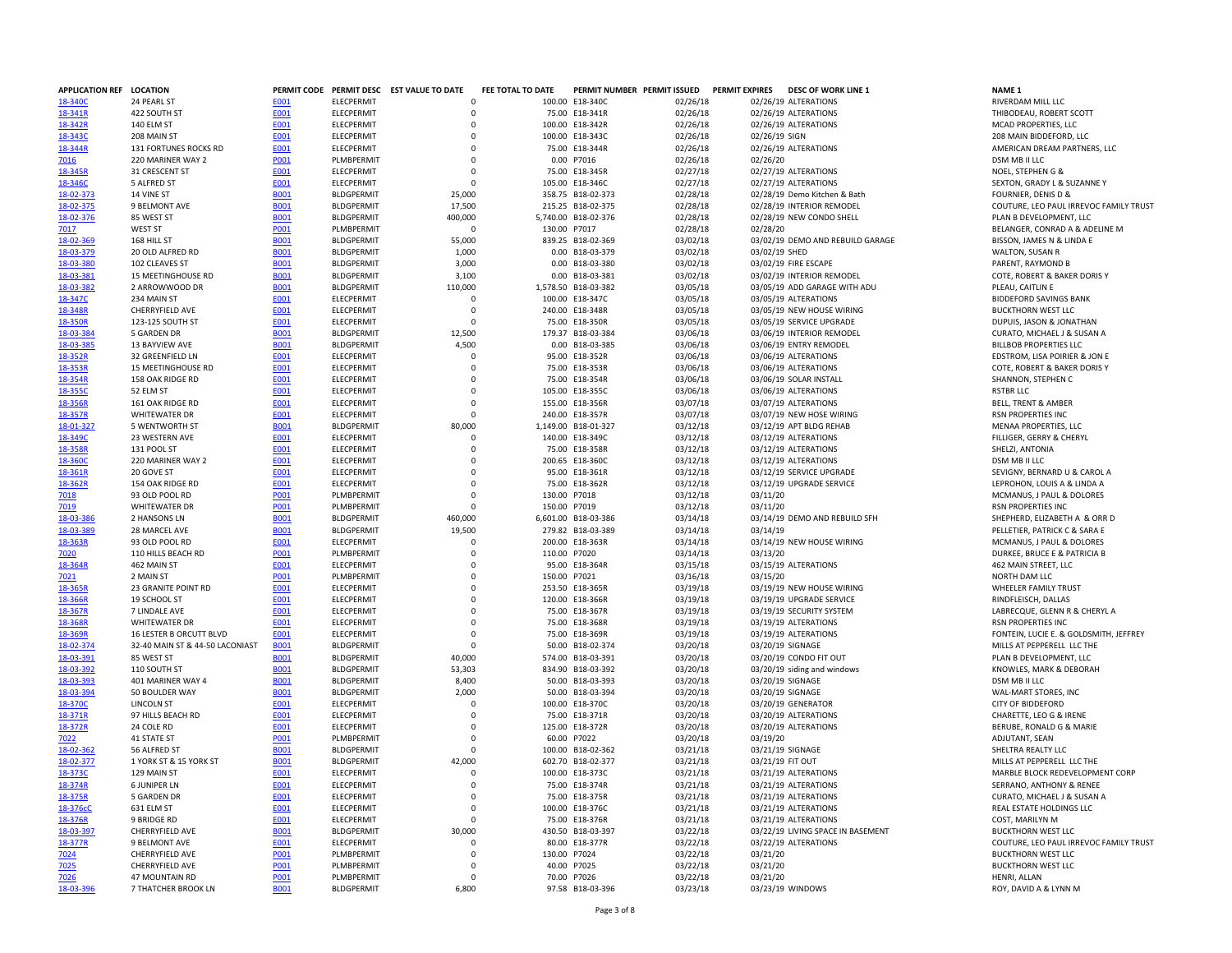| APPLICATION REF LOCATION |                                 |             |                   | PERMIT CODE PERMIT DESC EST VALUE TO DATE | FEE TOTAL TO DATE |                     | PERMIT NUMBER PERMIT ISSUED | <b>PERMIT EXPIRES</b><br><b>DESC OF WORK LINE 1</b> | <b>NAME 1</b>                          |
|--------------------------|---------------------------------|-------------|-------------------|-------------------------------------------|-------------------|---------------------|-----------------------------|-----------------------------------------------------|----------------------------------------|
| 18-340C                  | 24 PEARL ST                     | E001        | <b>ELECPERMIT</b> | $\Omega$                                  |                   | 100.00 E18-340C     | 02/26/18                    | 02/26/19 ALTERATIONS                                | RIVERDAM MILL LLC                      |
| 18-341R                  | 422 SOUTH ST                    | E001        | ELECPERMIT        | $\Omega$                                  |                   | 75.00 E18-341R      | 02/26/18                    | 02/26/19 ALTERATIONS                                | THIBODEAU, ROBERT SCOTT                |
| 18-342R                  | 140 ELM ST                      | E001        | ELECPERMIT        | $\mathbf 0$                               |                   | 100.00 E18-342R     | 02/26/18                    | 02/26/19 ALTERATIONS                                | MCAD PROPERTIES, LLC                   |
| 18-343C                  | 208 MAIN ST                     | E001        | <b>FLECPERMIT</b> | $\Omega$                                  |                   | 100.00 E18-343C     | 02/26/18                    | 02/26/19 SIGN                                       | 208 MAIN BIDDEFORD, LLC                |
| 18-344R                  | 131 FORTUNES ROCKS RD           | E001        | <b>ELECPERMIT</b> | $\Omega$                                  |                   | 75.00 E18-344R      | 02/26/18                    | 02/26/19 ALTERATIONS                                | AMERICAN DREAM PARTNERS, LLC           |
| 7016                     | 220 MARINER WAY 2               | P001        | PLMBPERMIT        | $\mathbf 0$                               |                   | 0.00 P7016          | 02/26/18                    | 02/26/20                                            | DSM MB II LLC                          |
| 18-345R                  | 31 CRESCENT ST                  | E001        | ELECPERMIT        | $\mathbf 0$                               |                   | 75.00 E18-345R      | 02/27/18                    | 02/27/19 ALTERATIONS                                | NOEL, STEPHEN G &                      |
|                          |                                 |             |                   | $\Omega$                                  |                   |                     |                             |                                                     |                                        |
| 18-346C                  | 5 ALFRED ST                     | E001        | <b>ELECPERMIT</b> |                                           |                   | 105.00 E18-346C     | 02/27/18                    | 02/27/19 ALTERATIONS                                | SEXTON, GRADY L & SUZANNE Y            |
| 18-02-373                | 14 VINE ST                      | <b>B001</b> | <b>BLDGPERMIT</b> | 25,000                                    |                   | 358.75 B18-02-373   | 02/28/18                    | 02/28/19 Demo Kitchen & Bath                        | FOURNIER, DENIS D &                    |
| 18-02-375                | 9 BELMONT AVE                   | <b>B001</b> | <b>BLDGPERMIT</b> | 17,500                                    |                   | 215.25 B18-02-375   | 02/28/18                    | 02/28/19 INTERIOR REMODEL                           | COUTURE, LEO PAUL IRREVOC FAMILY TRUST |
| 18-02-376                | 85 WEST ST                      | <b>B001</b> | <b>BLDGPERMIT</b> | 400,000                                   |                   | 5,740.00 B18-02-376 | 02/28/18                    | 02/28/19 NEW CONDO SHELL                            | PLAN B DEVELOPMENT, LLC                |
| 7017                     | WEST ST                         | <b>PO01</b> | PLMBPERMIT        | $\Omega$                                  | 130.00 P7017      |                     | 02/28/18                    | 02/28/20                                            | BELANGER, CONRAD A & ADELINE M         |
| 18-02-369                | 168 HILL ST                     | <b>B001</b> | <b>BLDGPERMIT</b> | 55,000                                    |                   | 839.25 B18-02-369   | 03/02/18                    | 03/02/19 DEMO AND REBUILD GARAGE                    | BISSON, JAMES N & LINDA E              |
| 18-03-379                | 20 OLD ALFRED RD                | <b>BOO1</b> | <b>BLDGPERMIT</b> | 1,000                                     |                   | 0.00 B18-03-379     | 03/02/18                    | 03/02/19 SHED                                       | WALTON, SUSAN R                        |
| 18-03-380                | 102 CLEAVES ST                  | <b>B001</b> | <b>BLDGPERMIT</b> | 3,000                                     |                   | 0.00 B18-03-380     | 03/02/18                    | 03/02/19 FIRE ESCAPE                                | PARENT, RAYMOND B                      |
| 18-03-381                | <b>15 MEETINGHOUSE RD</b>       | <b>B001</b> | <b>BLDGPFRMIT</b> | 3,100                                     |                   | 0.00 B18-03-381     | 03/02/18                    | 03/02/19 INTERIOR REMODEL                           | COTE, ROBERT & BAKER DORIS Y           |
| 18-03-382                | 2 ARROWWOOD DR                  | <b>B001</b> | <b>BLDGPERMIT</b> | 110,000                                   |                   | 1,578.50 B18-03-382 | 03/05/18                    | 03/05/19 ADD GARAGE WITH ADU                        | PLEAU, CAITLIN E                       |
| 18-347C                  | 234 MAIN ST                     | E001        | ELECPERMIT        | $\Omega$                                  |                   | 100.00 E18-347C     | 03/05/18                    | 03/05/19 ALTERATIONS                                | <b>BIDDEFORD SAVINGS BANK</b>          |
| 18-348R                  | CHERRYFIELD AVE                 | E001        | <b>ELECPERMIT</b> | $\Omega$                                  |                   | 240.00 E18-348R     | 03/05/18                    | 03/05/19 NEW HOUSE WIRING                           | <b>BUCKTHORN WEST LLC</b>              |
| 18-350R                  | 123-125 SOUTH ST                | <b>E001</b> | ELECPERMIT        | $\Omega$                                  |                   | 75.00 E18-350R      | 03/05/18                    | 03/05/19 SERVICE UPGRADE                            |                                        |
|                          |                                 |             |                   |                                           |                   |                     |                             |                                                     | DUPUIS, JASON & JONATHAN               |
| 18-03-384                | <b>5 GARDEN DR</b>              | <b>BOO1</b> | <b>BLDGPERMIT</b> | 12,500                                    |                   | 179.37 B18-03-384   | 03/06/18                    | 03/06/19 INTERIOR REMODEL                           | CURATO, MICHAEL J & SUSAN A            |
| 18-03-385                | 13 BAYVIEW AVE                  | <b>B001</b> | <b>BLDGPERMIT</b> | 4,500                                     |                   | 0.00 B18-03-385     | 03/06/18                    | 03/06/19 ENTRY REMODEL                              | <b>BILLBOB PROPERTIES LLC</b>          |
| 18-352R                  | 32 GREENFIELD LN                | E001        | <b>FLECPERMIT</b> | $\Omega$                                  |                   | 95.00 E18-352R      | 03/06/18                    | 03/06/19 ALTERATIONS                                | EDSTROM, LISA POIRIER & JON E          |
| 18-353R                  | 15 MEETINGHOUSE RD              | E001        | ELECPERMIT        | $\Omega$                                  |                   | 75.00 E18-353R      | 03/06/18                    | 03/06/19 ALTERATIONS                                | COTE, ROBERT & BAKER DORIS Y           |
| 18-354R                  | 158 OAK RIDGE RD                | <b>E001</b> | ELECPERMIT        | $\mathbf 0$                               |                   | 75.00 E18-354R      | 03/06/18                    | 03/06/19 SOLAR INSTALL                              | SHANNON, STEPHEN C                     |
| 18-355C                  | 52 ELM ST                       | E001        | <b>ELECPERMIT</b> | $\Omega$                                  |                   | 105.00 E18-355C     | 03/06/18                    | 03/06/19 ALTERATIONS                                | <b>RSTBR LLC</b>                       |
| 18-356R                  | 161 OAK RIDGE RD                | <b>E001</b> | <b>ELECPERMIT</b> | $\Omega$                                  |                   | 155.00 E18-356R     | 03/07/18                    | 03/07/19 ALTERATIONS                                | <b>BELL, TRENT &amp; AMBER</b>         |
| 18-357R                  | <b>WHITEWATER DR</b>            | E001        | ELECPERMIT        | $\mathbf 0$                               |                   | 240.00 E18-357R     | 03/07/18                    | 03/07/19 NEW HOSE WIRING                            | RSN PROPERTIES INC                     |
| 18-01-327                | 5 WENTWORTH ST                  | <b>B001</b> | <b>BLDGPFRMIT</b> | 80,000                                    |                   | 1,149.00 B18-01-327 | 03/12/18                    | 03/12/19 APT BLDG REHAB                             | MENAA PROPERTIES, LLC                  |
| 18-349C                  | 23 WESTERN AVE                  | E001        | ELECPERMIT        | $\mathbf 0$                               |                   | 140.00 E18-349C     | 03/12/18                    | 03/12/19 ALTERATIONS                                | FILLIGER, GERRY & CHERYL               |
| 18-358R                  | 131 POOL ST                     | E001        | <b>ELECPERMIT</b> | $\Omega$                                  |                   | 75.00 E18-358R      | 03/12/18                    | 03/12/19 ALTERATIONS                                | SHELZI, ANTONIA                        |
|                          |                                 |             |                   | $\mathbf 0$                               |                   |                     |                             |                                                     |                                        |
| 18-360C                  | 220 MARINER WAY 2               | <b>E001</b> | ELECPERMIT        |                                           |                   | 200.65 E18-360C     | 03/12/18                    | 03/12/19 ALTERATIONS                                | DSM MB II LLC                          |
| 18-361R                  | 20 GOVE ST                      | E001        | <b>ELECPERMIT</b> | $\Omega$                                  |                   | 95.00 E18-361R      | 03/12/18                    | 03/12/19 SERVICE UPGRADE                            | SEVIGNY, BERNARD U & CAROL A           |
| 18-362R                  | 154 OAK RIDGE RD                | E001        | ELECPERMIT        | $\Omega$                                  |                   | 75.00 E18-362R      | 03/12/18                    | 03/12/19 UPGRADE SERVICE                            | LEPROHON, LOUIS A & LINDA A            |
| 7018                     | 93 OLD POOL RD                  | P001        | PLMBPERMIT        | $\mathbf 0$                               | 130.00 P7018      |                     | 03/12/18                    | 03/11/20                                            | MCMANUS, J PAUL & DOLORES              |
| 7019                     | <b>WHITEWATER DR</b>            | P001        | <b>PLMBPERMIT</b> | $\Omega$                                  | 150.00 P7019      |                     | 03/12/18                    | 03/11/20                                            | RSN PROPERTIES INC                     |
| 18-03-386                | 2 HANSONS LN                    | <b>B001</b> | <b>BLDGPERMIT</b> | 460,000                                   |                   | 6.601.00 B18-03-386 | 03/14/18                    | 03/14/19 DEMO AND REBUILD SFH                       | SHEPHERD, ELIZABETH A & ORR D          |
| 18-03-389                | 28 MARCEL AVE                   | <b>B001</b> | <b>BLDGPERMIT</b> | 19,500                                    |                   | 279.82 B18-03-389   | 03/14/18                    | 03/14/19                                            | PELLETIER, PATRICK C & SARA E          |
| 18-363R                  | 93 OLD POOL RD                  | <b>E001</b> | ELECPERMIT        | $\mathbf 0$                               |                   | 200.00 E18-363R     | 03/14/18                    | 03/14/19 NEW HOUSE WIRING                           | MCMANUS, J PAUL & DOLORES              |
| 7020                     | 110 HILLS BEACH RD              | <b>P001</b> | PLMBPERMIT        | $\Omega$                                  | 110.00 P7020      |                     | 03/14/18                    | 03/13/20                                            | DURKEE, BRUCE E & PATRICIA B           |
| 18-364R                  | 462 MAIN ST                     | E001        | ELECPERMIT        | $\Omega$                                  |                   | 95.00 E18-364R      | 03/15/18                    | 03/15/19 ALTERATIONS                                | 462 MAIN STREET. LLC                   |
| 7021                     | 2 MAIN ST                       | P001        | PLMBPERMIT        | $\Omega$                                  | 150.00 P7021      |                     | 03/16/18                    | 03/15/20                                            | NORTH DAM LLC                          |
| 18-365R                  | 23 GRANITE POINT RD             | E001        | ELECPERMIT        | $\mathbf 0$                               |                   | 253.50 E18-365R     | 03/19/18                    | 03/19/19 NEW HOUSE WIRING                           | WHEELER FAMILY TRUST                   |
| 18-366R                  | 19 SCHOOL ST                    | <b>E001</b> | <b>ELECPERMIT</b> | $\Omega$                                  |                   | 120.00 E18-366R     | 03/19/18                    | 03/19/19 UPGRADE SERVICE                            | RINDFLEISCH, DALLAS                    |
|                          |                                 |             |                   | $\Omega$                                  |                   |                     |                             | 03/19/19 SECURITY SYSTEM                            |                                        |
| 18-367R                  | 7 LINDALE AVE                   | <b>E001</b> | <b>ELECPERMIT</b> |                                           |                   | 75.00 E18-367R      | 03/19/18                    |                                                     | LABRECQUE, GLENN R & CHERYL A          |
| 18-368R                  | <b>WHITEWATER DR</b>            | <b>E001</b> | ELECPERMIT        | $\mathbf 0$                               |                   | 75.00 E18-368R      | 03/19/18                    | 03/19/19 ALTERATIONS                                | RSN PROPERTIES INC                     |
| 18-369R                  | 16 LESTER B ORCUTT BLVD         | E001        | <b>FLECPERMIT</b> | $\Omega$                                  |                   | 75.00 E18-369R      | 03/19/18                    | 03/19/19 ALTERATIONS                                | FONTEIN, LUCIE E. & GOLDSMITH, JEFFREY |
| 18-02-374                | 32-40 MAIN ST & 44-50 LACONIAST | <b>B001</b> | <b>BLDGPERMIT</b> | $\Omega$                                  |                   | 50.00 B18-02-374    | 03/20/18                    | 03/20/19 SIGNAGE                                    | MILLS AT PEPPERELL LLC THE             |
| 18-03-391                | 85 WEST ST                      | <b>B001</b> | <b>BLDGPERMIT</b> | 40,000                                    |                   | 574.00 B18-03-391   | 03/20/18                    | 03/20/19 CONDO FIT OUT                              | PLAN B DEVELOPMENT, LLC                |
| 18-03-392                | 110 SOUTH ST                    | <b>B001</b> | <b>BLDGPERMIT</b> | 53,303                                    |                   | 834.90 B18-03-392   | 03/20/18                    | 03/20/19 siding and windows                         | KNOWLES, MARK & DEBORAH                |
| 18-03-393                | 401 MARINER WAY 4               | <b>B001</b> | <b>BLDGPERMIT</b> | 8,400                                     |                   | 50.00 B18-03-393    | 03/20/18                    | 03/20/19 SIGNAGE                                    | DSM MB II LLC                          |
| 18-03-394                | 50 BOULDER WAY                  | <b>BOO1</b> | <b>BLDGPERMIT</b> | 2,000                                     |                   | 50.00 B18-03-394    | 03/20/18                    | 03/20/19 SIGNAGE                                    | WAL-MART STORES, INC                   |
| 18-370C                  | LINCOLN ST                      | E001        | ELECPERMIT        | $\Omega$                                  |                   | 100.00 E18-370C     | 03/20/18                    | 03/20/19 GENERATOR                                  | CITY OF BIDDEFORD                      |
| 18-371R                  | 97 HILLS BEACH RD               | E001        | ELECPERMIT        | $\Omega$                                  |                   | 75.00 E18-371R      | 03/20/18                    | 03/20/19 ALTERATIONS                                | CHARETTE, LEO G & IRENE                |
| 18-372R                  | 24 COLE RD                      | E001        | <b>ELECPERMIT</b> | $\Omega$                                  |                   | 125.00 E18-372R     | 03/20/18                    | 03/20/19 ALTERATIONS                                | BERUBE, RONALD G & MARIE               |
| 7022                     | 41 STATE ST                     | P001        | PLMBPERMIT        | $\Omega$                                  |                   | 60.00 P7022         | 03/20/18                    | 03/19/20                                            | ADJUTANT, SEAN                         |
| 18-02-362                | 56 ALFRED ST                    | <b>B001</b> | <b>BLDGPERMIT</b> | $\mathbf 0$                               |                   | 100.00 B18-02-362   | 03/21/18                    | 03/21/19 SIGNAGE                                    | SHELTRA REALTY LLC                     |
|                          |                                 |             |                   |                                           |                   |                     |                             |                                                     |                                        |
| 18-02-377                | 1 YORK ST & 15 YORK ST          | <b>B001</b> | <b>BLDGPERMIT</b> | 42,000                                    |                   | 602.70 B18-02-377   | 03/21/18                    | 03/21/19 FIT OUT                                    | MILLS AT PEPPERELL LLC THE             |
| 18-373C                  | 129 MAIN ST                     | E001        | <b>FLECPERMIT</b> | $\Omega$                                  |                   | 100.00 E18-373C     | 03/21/18                    | 03/21/19 ALTERATIONS                                | MARBLE BLOCK REDEVELOPMENT CORP        |
| 18-374R                  | <b>6 JUNIPER LN</b>             | E001        | <b>ELECPERMIT</b> | $\Omega$                                  |                   | 75.00 E18-374R      | 03/21/18                    | 03/21/19 ALTERATIONS                                | SERRANO, ANTHONY & RENEE               |
| 18-375R                  | <b>5 GARDEN DR</b>              | E001        | ELECPERMIT        | $\mathbf 0$                               |                   | 75.00 E18-375R      | 03/21/18                    | 03/21/19 ALTERATIONS                                | CURATO, MICHAEL J & SUSAN A            |
| 18-376cC                 | 631 ELM ST                      | E001        | <b>ELECPERMIT</b> | $\Omega$                                  |                   | 100.00 E18-376C     | 03/21/18                    | 03/21/19 ALTERATIONS                                | REAL ESTATE HOLDINGS LLC               |
| 18-376R                  | 9 BRIDGE RD                     | <b>E001</b> | <b>ELECPERMIT</b> | $\Omega$                                  |                   | 75.00 E18-376R      | 03/21/18                    | 03/21/19 ALTERATIONS                                | COST, MARILYN M                        |
| 18-03-397                | CHERRYFIELD AVE                 | <b>BOO1</b> | <b>BLDGPERMIT</b> | 30,000                                    |                   | 430.50 B18-03-397   | 03/22/18                    | 03/22/19 LIVING SPACE IN BASEMENT                   | <b>BUCKTHORN WEST LLC</b>              |
| 18-377R                  | 9 BELMONT AVE                   | E001        | <b>FLECPERMIT</b> | $\Omega$                                  | 80.00             | F18-377R            | 03/22/18                    | 03/22/19 ALTERATIONS                                | COUTURE, LEO PAUL IRREVOC FAMILY TRUST |
| 7024                     | CHERRYFIELD AVE                 | <b>PO01</b> | PLMBPERMIT        | $\Omega$                                  | 130.00 P7024      |                     | 03/22/18                    | 03/21/20                                            | <b>BUCKTHORN WEST LLC</b>              |
| 7025                     | CHERRYFIELD AVE                 | P001        | <b>PLMBPERMI</b>  | $\Omega$                                  |                   | 40.00 P7025         | 03/22/18                    | 03/21/20                                            | <b>BUCKTHORN WEST LLC</b>              |
| 7026                     | 47 MOUNTAIN RD                  | P001        | PLMBPERMIT        | $\Omega$                                  |                   | 70.00 P7026         | 03/22/18                    | 03/21/20                                            | HENRI, ALLAN                           |
| 18-03-396                | 7 THATCHER BROOK LN             | <b>B001</b> | <b>BLDGPERMIT</b> | 6,800                                     |                   | 97.58 B18-03-396    | 03/23/18                    | 03/23/19 WINDOWS                                    | ROY, DAVID A & LYNN M                  |
|                          |                                 |             |                   |                                           |                   |                     |                             |                                                     |                                        |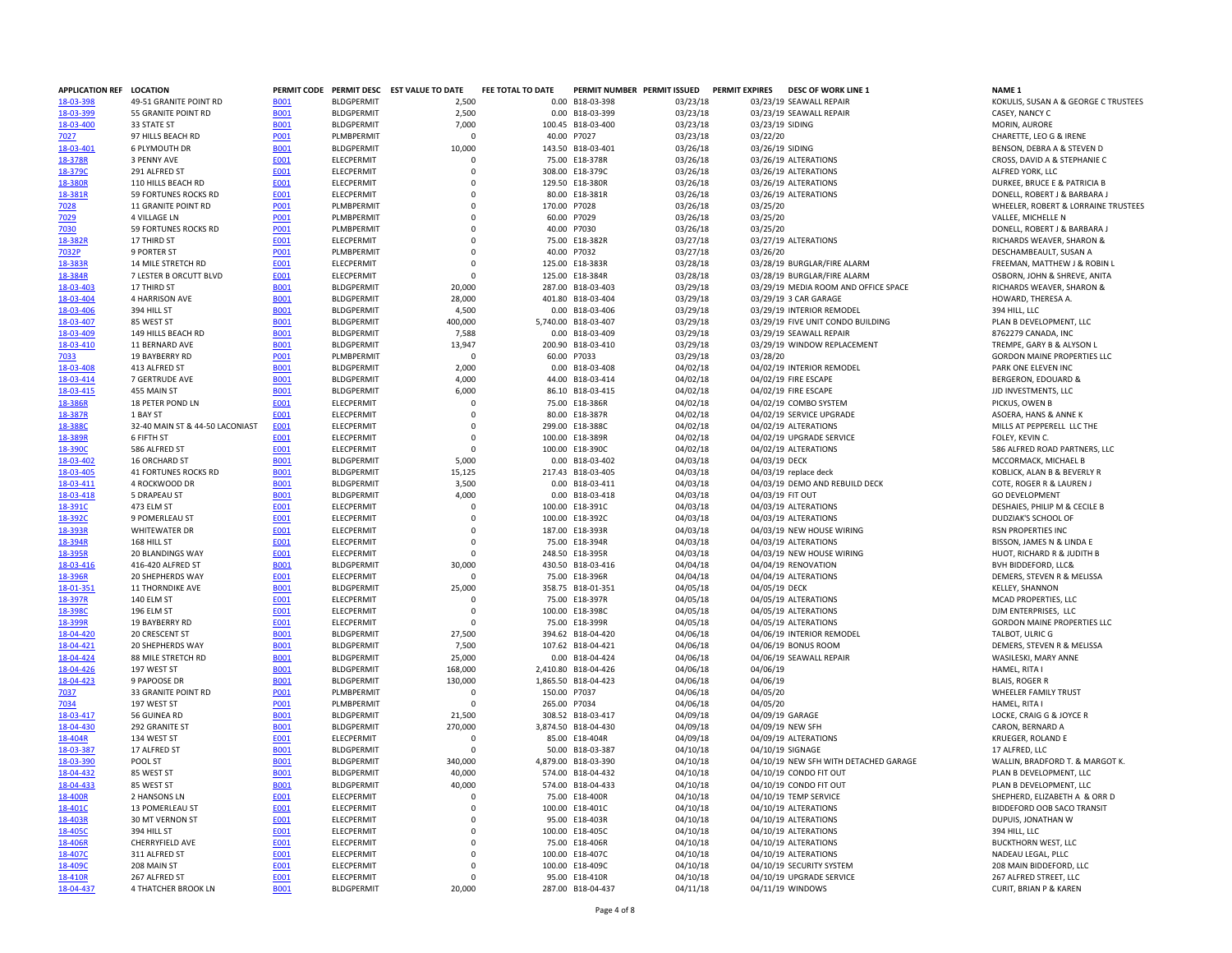| APPLICATION REF LOCATION |                                 |             |                   | PERMIT CODE PERMIT DESC EST VALUE TO DATE | FEE TOTAL TO DATE |                     | PERMIT NUMBER PERMIT ISSUED | <b>PERMIT EXPIRES</b> | <b>DESC OF WORK LINE 1</b>            | NAME <sub>1</sub>                  |
|--------------------------|---------------------------------|-------------|-------------------|-------------------------------------------|-------------------|---------------------|-----------------------------|-----------------------|---------------------------------------|------------------------------------|
| 18-03-398                | 49-51 GRANITE POINT RD          | <b>B001</b> | <b>BLDGPERMIT</b> | 2,500                                     |                   | 0.00 B18-03-398     | 03/23/18                    |                       | 03/23/19 SEAWALL REPAIR               | KOKULIS, SUSAN A & GEORGE C T      |
| 18-03-399                | 55 GRANITE POINT RD             | <b>B001</b> | <b>BLDGPERMIT</b> | 2,500                                     |                   | 0.00 B18-03-399     | 03/23/18                    |                       | 03/23/19 SEAWALL REPAIR               | CASEY, NANCY C                     |
| 18-03-400                | 33 STATE ST                     | <b>B001</b> | <b>BLDGPERMIT</b> | 7,000                                     |                   | 100.45 B18-03-400   | 03/23/18                    | 03/23/19 SIDING       |                                       | MORIN, AURORE                      |
| 7027                     | 97 HILLS BEACH RD               | P001        | PLMBPERMIT        | $\Omega$                                  |                   | 40.00 P7027         | 03/23/18                    | 03/22/20              |                                       | CHARETTE, LEO G & IRENE            |
| 18-03-401                | <b>6 PLYMOUTH DR</b>            | <b>B001</b> | <b>BLDGPERMIT</b> | 10,000                                    |                   | 143.50 B18-03-401   | 03/26/18                    | 03/26/19 SIDING       |                                       | BENSON, DEBRA A & STEVEN D         |
|                          |                                 |             |                   |                                           |                   |                     |                             |                       |                                       |                                    |
| 18-378R                  | 3 PENNY AVE                     | E001        | ELECPERMIT        | 0                                         |                   | 75.00 E18-378R      | 03/26/18                    |                       | 03/26/19 ALTERATIONS                  | CROSS, DAVID A & STEPHANIE C       |
| 18-379C                  | 291 ALFRED ST                   | E001        | ELECPERMIT        | $\mathbf 0$                               |                   | 308.00 E18-379C     | 03/26/18                    |                       | 03/26/19 ALTERATIONS                  | ALFRED YORK, LLC                   |
| 18-380R                  | 110 HILLS BEACH RD              | <b>E001</b> | ELECPERMIT        | $\Omega$                                  |                   | 129.50 E18-380R     | 03/26/18                    |                       | 03/26/19 ALTERATIONS                  | DURKEE, BRUCE E & PATRICIA B       |
| 18-381R                  | 59 FORTUNES ROCKS RD            | E001        | ELECPERMIT        | $\mathbf 0$                               |                   | 80.00 E18-381R      | 03/26/18                    |                       | 03/26/19 ALTERATIONS                  | DONELL, ROBERT J & BARBARA.        |
| 7028                     | 11 GRANITE POINT RD             | P001        | PLMBPERMIT        | $\mathbf 0$                               |                   | 170.00 P7028        | 03/26/18                    | 03/25/20              |                                       | WHEELER, ROBERT & LORRAINE T       |
| 7029                     | <b>4 VILLAGE LN</b>             | P001        | PLMBPERMIT        | $\Omega$                                  |                   | 60.00 P7029         | 03/26/18                    | 03/25/20              |                                       | VALLEE, MICHELLE N                 |
| 7030                     | 59 FORTUNES ROCKS RD            | P001        | PLMBPERMIT        | 0                                         |                   | 40.00 P7030         | 03/26/18                    | 03/25/20              |                                       | DONELL, ROBERT J & BARBARA J       |
| 18-382R                  | 17 THIRD ST                     | E001        | ELECPERMIT        | $\mathbf 0$                               |                   | 75.00 E18-382R      | 03/27/18                    |                       | 03/27/19 ALTERATIONS                  | RICHARDS WEAVER, SHARON &          |
|                          |                                 |             |                   | $\mathbf 0$                               |                   |                     | 03/27/18                    |                       |                                       |                                    |
| 7032P                    | 9 PORTER ST                     | <b>PO01</b> | PLMBPERMIT        |                                           |                   | 40.00 P7032         |                             | 03/26/20              |                                       | DESCHAMBEAULT, SUSAN A             |
| 18-383R                  | 14 MILE STRETCH RD              | E001        | <b>ELECPERMIT</b> | $\Omega$                                  |                   | 125.00 E18-383R     | 03/28/18                    |                       | 03/28/19 BURGLAR/FIRE ALARM           | FREEMAN, MATTHEW J & ROBIN         |
| 18-384R                  | 7 LESTER B ORCUTT BLVD          | E001        | <b>ELECPERMIT</b> | $\Omega$                                  |                   | 125.00 E18-384R     | 03/28/18                    |                       | 03/28/19 BURGLAR/FIRE ALARM           | OSBORN, JOHN & SHREVE, ANITA       |
| 18-03-403                | 17 THIRD ST                     | <b>B001</b> | <b>BLDGPERMIT</b> | 20,000                                    |                   | 287.00 B18-03-403   | 03/29/18                    |                       | 03/29/19 MEDIA ROOM AND OFFICE SPACE  | RICHARDS WEAVER, SHARON &          |
| 18-03-404                | 4 HARRISON AVE                  | <b>B001</b> | <b>BLDGPERMIT</b> | 28,000                                    |                   | 401.80 B18-03-404   | 03/29/18                    |                       | 03/29/19 3 CAR GARAGE                 | HOWARD, THERESA A.                 |
| 18-03-406                | 394 HILL ST                     | <b>B001</b> | <b>BLDGPERMIT</b> | 4,500                                     |                   | 0.00 B18-03-406     | 03/29/18                    |                       | 03/29/19 INTERIOR REMODEL             | 394 HILL, LLC                      |
| 18-03-407                | 85 WEST ST                      | <b>B001</b> | <b>BLDGPERMIT</b> | 400,000                                   |                   | 5,740.00 B18-03-407 | 03/29/18                    |                       | 03/29/19 FIVE UNIT CONDO BUILDING     | PLAN B DEVELOPMENT, LLC            |
| 18-03-409                | 149 HILLS BEACH RD              | <b>B001</b> | <b>BLDGPERMIT</b> | 7,588                                     |                   | 0.00 B18-03-409     | 03/29/18                    |                       | 03/29/19 SEAWALL REPAIR               | 8762279 CANADA, INC                |
| 18-03-410                | 11 BERNARD AVE                  | <b>B001</b> | <b>BLDGPERMIT</b> | 13,947                                    |                   | 200.90 B18-03-410   |                             |                       | 03/29/19 WINDOW REPLACEMENT           | TREMPE, GARY B & ALYSON L          |
|                          |                                 |             |                   |                                           |                   |                     | 03/29/18                    |                       |                                       |                                    |
| 7033                     | 19 BAYBERRY RD                  | P001        | PLMBPERMIT        | $\mathbf 0$                               |                   | 60.00 P7033         | 03/29/18                    | 03/28/20              |                                       | <b>GORDON MAINE PROPERTIES LLC</b> |
| 18-03-408                | 413 ALFRED ST                   | <b>B001</b> | <b>BLDGPERMIT</b> | 2,000                                     |                   | 0.00 B18-03-408     | 04/02/18                    |                       | 04/02/19 INTERIOR REMODEL             | PARK ONE ELEVEN INC                |
| 18-03-414                | 7 GERTRUDE AVE                  | <b>B001</b> | <b>BLDGPERMIT</b> | 4,000                                     |                   | 44.00 B18-03-414    | 04/02/18                    |                       | 04/02/19 FIRE ESCAPE                  | BERGERON, EDOUARD &                |
| 18-03-415                | 455 MAIN ST                     | <b>B001</b> | <b>BLDGPERMIT</b> | 6,000                                     |                   | 86.10 B18-03-415    | 04/02/18                    |                       | 04/02/19 FIRE ESCAPE                  | JJD INVESTMENTS, LLC               |
| 18-386R                  | 18 PETER POND LN                | E001        | <b>ELECPERMIT</b> | 0                                         |                   | 75.00 E18-386R      | 04/02/18                    |                       | 04/02/19 COMBO SYSTEM                 | PICKUS, OWEN B                     |
| 18-387R                  | 1 BAY ST                        | E001        | ELECPERMIT        | $\mathbf 0$                               |                   | 80.00 E18-387R      | 04/02/18                    |                       | 04/02/19 SERVICE UPGRADE              | ASOERA, HANS & ANNE K              |
| 18-388C                  | 32-40 MAIN ST & 44-50 LACONIAST | E001        | ELECPERMIT        | $\mathbf 0$                               |                   | 299.00 E18-388C     | 04/02/18                    |                       | 04/02/19 ALTERATIONS                  | MILLS AT PEPPERELL LLC THE         |
|                          |                                 |             |                   | $\Omega$                                  |                   |                     |                             |                       |                                       |                                    |
| 18-389R                  | 6 FIFTH ST                      | <b>E001</b> | ELECPERMIT        |                                           |                   | 100.00 E18-389R     | 04/02/18                    |                       | 04/02/19 UPGRADE SERVICE              | FOLEY, KEVIN C.                    |
| 18-390C                  | 586 ALFRED ST                   | E001        | ELECPERMIT        | $\mathbf 0$                               |                   | 100.00 E18-390C     | 04/02/18                    |                       | 04/02/19 ALTERATIONS                  | 586 ALFRED ROAD PARTNERS, LLO      |
| 18-03-402                | 16 ORCHARD ST                   | <b>B001</b> | <b>BLDGPERMIT</b> | 5,000                                     |                   | 0.00 B18-03-402     | 04/03/18                    | 04/03/19 DECK         |                                       | MCCORMACK, MICHAEL B               |
| 18-03-405                | <b>41 FORTUNES ROCKS RD</b>     | <b>B001</b> | <b>BLDGPERMIT</b> | 15,125                                    |                   | 217.43 B18-03-405   | 04/03/18                    |                       | 04/03/19 replace deck                 | KOBLICK, ALAN B & BEVERLY R        |
| 18-03-411                | 4 ROCKWOOD DR                   | <b>B001</b> | <b>BLDGPERMIT</b> | 3,500                                     | 0.00              | B18-03-411          | 04/03/18                    |                       | 04/03/19 DEMO AND REBUILD DECK        | COTE, ROGER R & LAUREN J           |
| 18-03-418                | <b>5 DRAPEAU ST</b>             | <b>B001</b> | <b>BLDGPERMIT</b> | 4,000                                     | 0.00              | B18-03-418          | 04/03/18                    | 04/03/19 FIT OUT      |                                       | <b>GO DEVELOPMENT</b>              |
| 18-391C                  | 473 ELM ST                      | E001        | ELECPERMIT        | $\mathbf 0$                               |                   | 100.00 E18-391C     | 04/03/18                    |                       | 04/03/19 ALTERATIONS                  | DESHAIES, PHILIP M & CECILE B      |
| 18-392C                  | 9 POMERLEAU ST                  | <b>E001</b> | ELECPERMIT        | $\Omega$                                  |                   | 100.00 E18-392C     | 04/03/18                    |                       | 04/03/19 ALTERATIONS                  | DUDZIAK'S SCHOOL OF                |
| 18-393R                  | <b>WHITEWATER DR</b>            | E001        | <b>ELECPERMIT</b> | 0                                         |                   | 187.00 E18-393R     | 04/03/18                    |                       | 04/03/19 NEW HOUSE WIRING             | RSN PROPERTIES INC                 |
|                          |                                 |             |                   |                                           |                   |                     |                             |                       |                                       |                                    |
| 18-394R                  | 168 HILL ST                     | E001        | ELECPERMIT        | $\mathbf 0$                               |                   | 75.00 E18-394R      | 04/03/18                    |                       | 04/03/19 ALTERATIONS                  | BISSON, JAMES N & LINDA E          |
| 18-395R                  | <b>20 BLANDINGS WAY</b>         | E001        | ELECPERMIT        | $\Omega$                                  |                   | 248.50 E18-395R     | 04/03/18                    |                       | 04/03/19 NEW HOUSE WIRING             | HUOT, RICHARD R & JUDITH B         |
| 18-03-416                | 416-420 ALFRED ST               | <b>B001</b> | <b>BLDGPERMIT</b> | 30,000                                    |                   | 430.50 B18-03-416   | 04/04/18                    |                       | 04/04/19 RENOVATION                   | BVH BIDDEFORD, LLC&                |
| 18-396R                  | 20 SHEPHERDS WAY                | E001        | ELECPERMIT        | $\mathbf 0$                               |                   | 75.00 E18-396R      | 04/04/18                    |                       | 04/04/19 ALTERATIONS                  | DEMERS, STEVEN R & MELISSA         |
| 18-01-351                | <b>11 THORNDIKE AVE</b>         | <b>B001</b> | <b>BLDGPERMIT</b> | 25,000                                    |                   | 358.75 B18-01-351   | 04/05/18                    | 04/05/19 DECK         |                                       | KELLEY, SHANNON                    |
| 18-397R                  | 140 ELM ST                      | <b>E001</b> | ELECPERMIT        | $\Omega$                                  |                   | 75.00 F18-397R      | 04/05/18                    |                       | 04/05/19 ALTERATIONS                  | MCAD PROPERTIES, LLC               |
| 18-398C                  | 196 ELM ST                      | E001        | <b>ELECPERMIT</b> | 0                                         |                   | 100.00 E18-398C     | 04/05/18                    |                       | 04/05/19 ALTERATIONS                  | DJM ENTERPRISES, LLC               |
| 18-399R                  | 19 BAYBERRY RD                  | E001        | ELECPERMIT        | $\Omega$                                  |                   | 75.00 E18-399R      | 04/05/18                    |                       | 04/05/19 ALTERATIONS                  | <b>GORDON MAINE PROPERTIES LLC</b> |
|                          |                                 |             |                   |                                           |                   |                     |                             |                       |                                       |                                    |
| 18-04-420                | 20 CRESCENT ST                  | <b>B001</b> | <b>BLDGPERMIT</b> | 27,500                                    |                   | 394.62 B18-04-420   | 04/06/18                    |                       | 04/06/19 INTERIOR REMODEL             | TALBOT, ULRIC G                    |
| 18-04-421                | 20 SHEPHERDS WAY                | <b>B001</b> | <b>BLDGPERMIT</b> | 7,500                                     |                   | 107.62 B18-04-421   | 04/06/18                    |                       | 04/06/19 BONUS ROOM                   | DEMERS, STEVEN R & MELISSA         |
| 18-04-424                | 88 MILE STRETCH RD              | <b>B001</b> | <b>BLDGPERMIT</b> | 25,000                                    |                   | 0.00 B18-04-424     | 04/06/18                    |                       | 04/06/19 SEAWALL REPAIR               | WASILESKI, MARY ANNE               |
| 18-04-426                | 197 WEST ST                     | <b>B001</b> | <b>BLDGPERMIT</b> | 168,000                                   |                   | 2,410.80 B18-04-426 | 04/06/18                    | 04/06/19              |                                       | HAMEL, RITA I                      |
| 18-04-423                | 9 PAPOOSE DR                    | <b>B001</b> | <b>BLDGPERMIT</b> | 130,000                                   |                   | 1,865.50 B18-04-423 | 04/06/18                    | 04/06/19              |                                       | <b>BLAIS, ROGER R</b>              |
| 7037                     | 33 GRANITE POINT RD             | P001        | PLMBPERMIT        | $\mathbf 0$                               | 150.00 P7037      |                     | 04/06/18                    | 04/05/20              |                                       | WHEELER FAMILY TRUST               |
| 7034                     | 197 WEST ST                     | P001        | PLMBPERMIT        | $\mathbf 0$                               | 265.00 P7034      |                     | 04/06/18                    | 04/05/20              |                                       | HAMEL, RITA I                      |
| 18-03-417                | 56 GUINEA RD                    | <b>B001</b> | <b>BLDGPERMIT</b> | 21,500                                    |                   | 308.52 B18-03-417   | 04/09/18                    | 04/09/19 GARAGE       |                                       | LOCKE, CRAIG G & JOYCE R           |
|                          |                                 |             |                   |                                           |                   |                     |                             |                       |                                       |                                    |
| 18-04-430                | 292 GRANITE ST                  | <b>B001</b> | <b>BLDGPERMIT</b> | 270,000                                   |                   | 3,874.50 B18-04-430 | 04/09/18                    | 04/09/19 NEW SFH      |                                       | CARON, BERNARD A                   |
| 18-404R                  | 134 WEST ST                     | E001        | ELECPERMIT        | 0                                         |                   | 85.00 E18-404R      | 04/09/18                    |                       | 04/09/19 ALTERATIONS                  | <b>KRUEGER, ROLAND E</b>           |
| 18-03-387                | 17 ALFRED ST                    | <b>B001</b> | <b>BLDGPERMIT</b> | $\mathbf 0$                               |                   | 50.00 B18-03-387    | 04/10/18                    | 04/10/19 SIGNAGE      |                                       | 17 ALFRED, LLC                     |
| 18-03-390                | POOL ST                         | <b>B001</b> | <b>BLDGPERMIT</b> | 340,000                                   |                   | 4,879.00 B18-03-390 | 04/10/18                    |                       | 04/10/19 NEW SFH WITH DETACHED GARAGE | WALLIN, BRADFORD T. & MARGO        |
| 18-04-432                | 85 WEST ST                      | <b>B001</b> | <b>BLDGPERMIT</b> | 40,000                                    |                   | 574.00 B18-04-432   | 04/10/18                    |                       | 04/10/19 CONDO FIT OUT                | PLAN B DEVELOPMENT, LLC            |
| 18-04-433                | 85 WEST ST                      | <b>B001</b> | <b>BLDGPERMIT</b> | 40,000                                    |                   | 574.00 B18-04-433   | 04/10/18                    |                       | 04/10/19 CONDO FIT OUT                | PLAN B DEVELOPMENT, LLC            |
| 18-400R                  | 2 HANSONS LN                    | E001        | ELECPERMIT        | $\mathbf 0$                               |                   | 75.00 E18-400R      | 04/10/18                    |                       | 04/10/19 TEMP SERVICE                 | SHEPHERD, ELIZABETH A & ORR I      |
| 18-401C                  | 13 POMERLEAU ST                 | E001        | ELECPERMIT        | $\Omega$                                  |                   | 100.00 E18-401C     | 04/10/18                    |                       | 04/10/19 ALTERATIONS                  | BIDDEFORD OOB SACO TRANSIT         |
|                          |                                 |             |                   |                                           |                   |                     |                             |                       |                                       |                                    |
| 18-403R                  | 30 MT VERNON ST                 | E001        | ELECPERMIT        | 0                                         |                   | 95.00 E18-403R      | 04/10/18                    |                       | 04/10/19 ALTERATIONS                  | DUPUIS, JONATHAN W                 |
| 18-4050                  | 394 HILL ST                     | E001        | ELECPERMIT        | $\mathbf 0$                               |                   | 100.00 E18-405C     | 04/10/18                    |                       | 04/10/19 ALTERATIONS                  | 394 HILL, LLC                      |
| 18-406R                  | CHERRYFIELD AVE                 | E001        | ELECPERMIT        | $\mathbf 0$                               |                   | 75.00 E18-406R      | 04/10/18                    |                       | 04/10/19 ALTERATIONS                  | <b>BUCKTHORN WEST, LLC</b>         |
| 18-407C                  | 311 ALFRED ST                   | <b>E001</b> | ELECPERMIT        | $\Omega$                                  |                   | 100.00 E18-407C     | 04/10/18                    |                       | 04/10/19 ALTERATIONS                  | NADEAU LEGAL, PLLC                 |
| 18-409C                  | 208 MAIN ST                     | E001        | <b>ELECPERMIT</b> | 0                                         |                   | 100.00 E18-409C     | 04/10/18                    |                       | 04/10/19 SECURITY SYSTEM              | 208 MAIN BIDDEFORD, LLC            |
| 18-410R                  | 267 ALFRED ST                   | E001        | ELECPERMIT        | $\Omega$                                  |                   | 95.00 E18-410R      | 04/10/18                    |                       | 04/10/19 UPGRADE SERVICE              | 267 ALFRED STREET, LLC             |
| 18-04-437                | 4 THATCHER BROOK LN             | <b>B001</b> | <b>BLDGPERMIT</b> | 20,000                                    |                   | 287.00 B18-04-437   | 04/11/18                    |                       | 04/11/19 WINDOWS                      | CURIT, BRIAN P & KAREN             |
|                          |                                 |             |                   |                                           |                   |                     |                             |                       |                                       |                                    |

## BENSON, DEBRA A & STEVEN D<br>CROSS, DAVID A & STEPHANIE C DURKEE, BRUCE E & PATRICIA B<br>DONELL, ROBERT J & BARBARA J WHEELER, ROBERT & LORRAINE TRUSTEES<br>VALLEE, MICHELLE N DONELL, ROBERT J & BARBARA J RICHARDS WEAVER, SHARON & FREEMAN, MATTHEW J & ROBIN L OSBORN, JOHN & SHREVE, ANITA RICHARDS WEAVER, SHARON &<br>HOWARD, THERESA A. TREMPE, GARY B & ALYSON L<br>GORDON MAINE PROPERTIES LLC KOBLICK, ALAN B & BEVERLY R<br>COTE, ROGER R & LAUREN J DESHAIES, PHILIP M & CECILE B<br>DUDZIAK'S SCHOOL OF DEMERS, STEVEN R & MELISSA<br>KELLEY, SHANNON GORDON MAINE PROPERTIES LLC<br>TALBOT, ULRIC G DEMERS, STEVEN R & MELISSA<br>WASILESKI, MARY ANNE WALLIN, BRADFORD T. & MARGOT K.<br>PLAN B DEVELOPMENT, LLC SHEPHERD, ELIZABETH A & ORR D BIDDEFORD OOB SACO TRANSIT<br>DUPUIS, JONATHAN W

KOKULIS, SUSAN A & GEORGE C TRUSTEES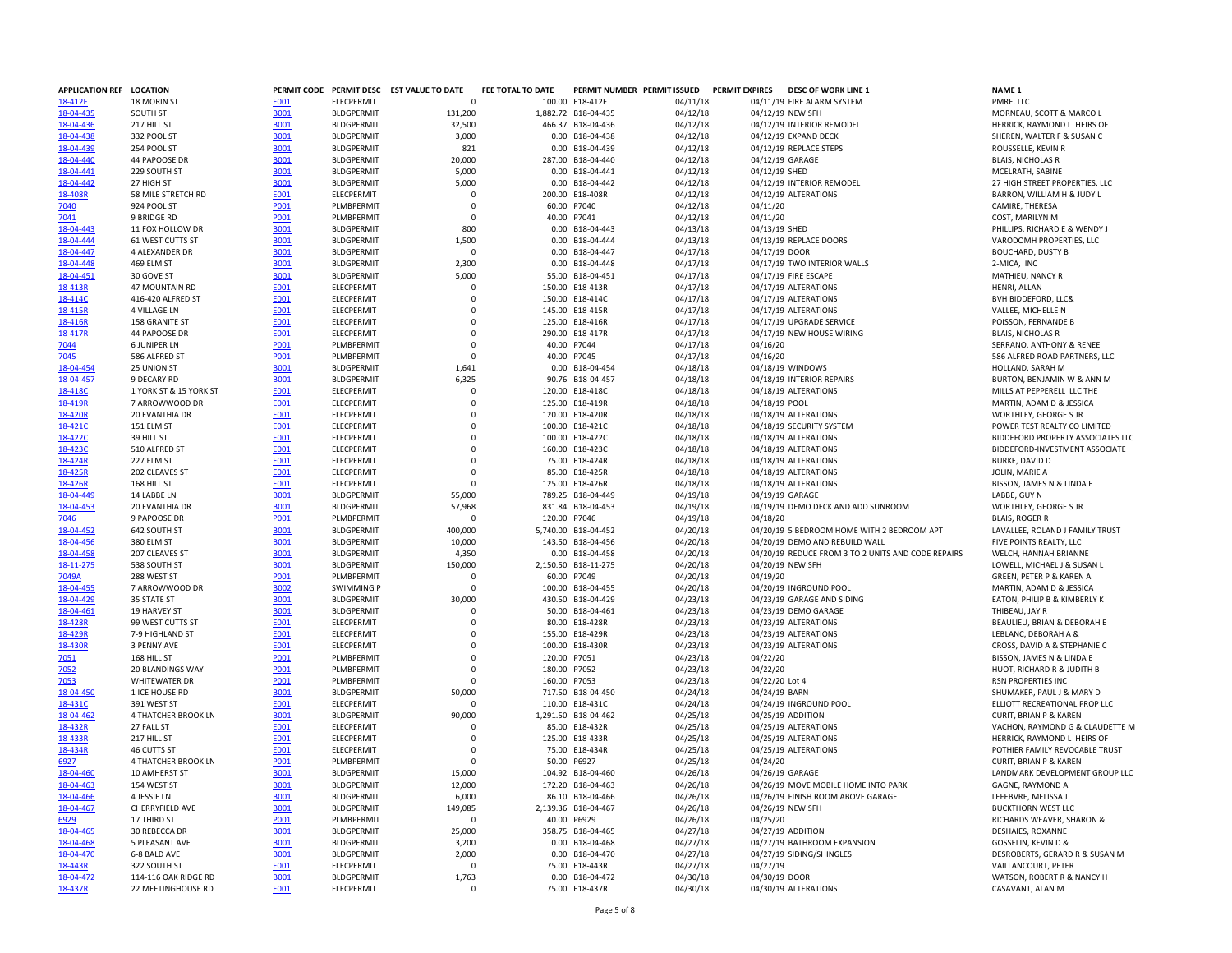| APPLICATION REF LOCATION |                         |             |                   | PERMIT CODE PERMIT DESC EST VALUE TO DATE | FEE TOTAL TO DATE |                     | PERMIT NUMBER PERMIT ISSUED | <b>PERMIT EXPIRES</b> | <b>DESC OF WORK LINE 1</b>                         | <b>NAME 1</b>                     |
|--------------------------|-------------------------|-------------|-------------------|-------------------------------------------|-------------------|---------------------|-----------------------------|-----------------------|----------------------------------------------------|-----------------------------------|
| 18-412F                  | 18 MORIN ST             | E001        | ELECPERMIT        | $\Omega$                                  |                   | 100.00 E18-412F     | 04/11/18                    |                       | 04/11/19 FIRE ALARM SYSTEM                         | PMRE. LLC                         |
| 18-04-435                | SOUTH ST                | <b>B001</b> | <b>BLDGPERMIT</b> | 131,200                                   |                   | 1,882.72 B18-04-435 | 04/12/18                    |                       | 04/12/19 NEW SFH                                   | MORNEAU, SCOTT & MARCO L          |
| 18-04-436                | 217 HILL ST             | <b>B001</b> | <b>BLDGPERMIT</b> | 32,500                                    |                   | 466.37 B18-04-436   | 04/12/18                    |                       | 04/12/19 INTERIOR REMODEL                          | HERRICK, RAYMOND L HEIRS O        |
| 18-04-438                |                         |             |                   | 3,000                                     |                   |                     | 04/12/18                    |                       | 04/12/19 EXPAND DECK                               | SHEREN, WALTER F & SUSAN C        |
|                          | 332 POOL ST             | <b>B001</b> | <b>BLDGPERMIT</b> |                                           |                   | 0.00 B18-04-438     |                             |                       |                                                    |                                   |
| 18-04-439                | 254 POOL ST             | <b>B001</b> | <b>BLDGPERMIT</b> | 821                                       |                   | 0.00 B18-04-439     | 04/12/18                    |                       | 04/12/19 REPLACE STEPS                             | ROUSSELLE, KEVIN R                |
| 18-04-440                | 44 PAPOOSE DR           | <b>B001</b> | <b>BLDGPERMIT</b> | 20,000                                    |                   | 287.00 B18-04-440   | 04/12/18                    |                       | 04/12/19 GARAGE                                    | <b>BLAIS, NICHOLAS R</b>          |
| 18-04-441                | 229 SOUTH ST            | <b>B001</b> | <b>BLDGPERMIT</b> | 5,000                                     |                   | 0.00 B18-04-441     | 04/12/18                    | 04/12/19 SHED         |                                                    | MCELRATH, SABINE                  |
| 18-04-442                | 27 HIGH ST              | <b>B001</b> | <b>BLDGPERMIT</b> | 5,000                                     |                   | 0.00 B18-04-442     | 04/12/18                    |                       | 04/12/19 INTERIOR REMODEL                          | 27 HIGH STREET PROPERTIES, L      |
| 18-408R                  | 58 MILE STRETCH RD      | E001        | ELECPERMIT        | $\Omega$                                  |                   | 200.00 E18-408R     | 04/12/18                    |                       | 04/12/19 ALTERATIONS                               | BARRON, WILLIAM H & JUDY L        |
| 7040                     | 924 POOL ST             | P001        | PLMBPERMIT        | $\Omega$                                  |                   | 60.00 P7040         | 04/12/18                    | 04/11/20              |                                                    | CAMIRE, THERESA                   |
| 7041                     | 9 BRIDGE RD             | P001        | PLMBPERMIT        | $\Omega$                                  | 40.00 P7041       |                     | 04/12/18                    | 04/11/20              |                                                    | COST, MARILYN M                   |
| 18-04-443                | 11 FOX HOLLOW DR        |             | <b>BLDGPERMIT</b> | 800                                       |                   | 0.00 B18-04-443     | 04/13/18                    | 04/13/19 SHED         |                                                    | PHILLIPS, RICHARD E & WENDY       |
|                          |                         | <b>B001</b> |                   |                                           |                   |                     |                             |                       |                                                    |                                   |
| 18-04-444                | 61 WEST CUTTS ST        | <b>B001</b> | <b>BLDGPERMIT</b> | 1,500                                     |                   | 0.00 B18-04-444     | 04/13/18                    |                       | 04/13/19 REPLACE DOORS                             | VARODOMH PROPERTIES, LLC          |
| 18-04-447                | 4 ALEXANDER DR          | <b>B001</b> | <b>BLDGPERMIT</b> | $\circ$                                   |                   | 0.00 B18-04-447     | 04/17/18                    | 04/17/19 DOOR         |                                                    | <b>BOUCHARD, DUSTY B</b>          |
| 18-04-448                | 469 ELM ST              | <b>B001</b> | <b>BLDGPERMIT</b> | 2,300                                     |                   | 0.00 B18-04-448     | 04/17/18                    |                       | 04/17/19 TWO INTERIOR WALLS                        | 2-MICA, INC                       |
| 18-04-451                | 30 GOVE ST              | <b>BOO1</b> | <b>BLDGPERMIT</b> | 5,000                                     |                   | 55.00 B18-04-451    | 04/17/18                    |                       | 04/17/19 FIRE ESCAPE                               | <b>MATHIEU, NANCY R</b>           |
| 18-413R                  | 47 MOUNTAIN RD          | E001        | ELECPERMIT        | $\mathbf 0$                               |                   | 150.00 E18-413R     | 04/17/18                    |                       | 04/17/19 ALTERATIONS                               | HENRI, ALLAN                      |
| 18-414C                  | 416-420 ALFRED ST       | E001        | ELECPERMIT        | $\mathbf 0$                               |                   | 150.00 E18-414C     | 04/17/18                    |                       | 04/17/19 ALTERATIONS                               | BVH BIDDEFORD, LLC&               |
| 18-415R                  | <b>4 VILLAGE LN</b>     | E001        | ELECPERMIT        | $\Omega$                                  |                   | 145.00 E18-415R     | 04/17/18                    |                       | 04/17/19 ALTERATIONS                               | VALLEE, MICHELLE N                |
| 18-416R                  | 158 GRANITE ST          | E001        | ELECPERMIT        | $\mathbf 0$                               |                   | 125.00 E18-416R     |                             |                       | 04/17/19 UPGRADE SERVICE                           | POISSON, FERNANDE B               |
|                          |                         |             |                   |                                           |                   |                     | 04/17/18                    |                       |                                                    |                                   |
| 18-417R                  | 44 PAPOOSE DR           | E001        | ELECPERMIT        | $\mathbf 0$                               |                   | 290.00 E18-417R     | 04/17/18                    |                       | 04/17/19 NEW HOUSE WIRING                          | <b>BLAIS, NICHOLAS R</b>          |
| 7044                     | <b>6 JUNIPER LN</b>     | <b>PO01</b> | PLMBPERMIT        | $\Omega$                                  |                   | 40.00 P7044         | 04/17/18                    | 04/16/20              |                                                    | SERRANO, ANTHONY & RENEE          |
| 7045                     | 586 ALFRED ST           | <b>PO01</b> | PLMBPERMIT        | $\Omega$                                  |                   | 40.00 P7045         | 04/17/18                    | 04/16/20              |                                                    | 586 ALFRED ROAD PARTNERS, L       |
| 18-04-454                | 25 UNION ST             | <b>B001</b> | <b>BLDGPERMIT</b> | 1,641                                     |                   | 0.00 B18-04-454     | 04/18/18                    |                       | 04/18/19 WINDOWS                                   | HOLLAND, SARAH M                  |
| 18-04-457                | 9 DECARY RD             | <b>B001</b> | <b>BLDGPERMIT</b> | 6,325                                     |                   | 90.76 B18-04-457    | 04/18/18                    |                       | 04/18/19 INTERIOR REPAIRS                          | BURTON, BENJAMIN W & ANN          |
| 18-418C                  | 1 YORK ST & 15 YORK ST  | E001        | ELECPERMIT        | 0                                         |                   | 120.00 E18-418C     | 04/18/18                    |                       | 04/18/19 ALTERATIONS                               | MILLS AT PEPPERELL LLC THE        |
| 18-419R                  | 7 ARROWWOOD DR          | <b>E001</b> | ELECPERMIT        | $\mathbf 0$                               |                   | 125.00 E18-419R     | 04/18/18                    | 04/18/19 POOL         |                                                    | MARTIN, ADAM D & JESSICA          |
| 18-420R                  |                         | E001        |                   | $\Omega$                                  |                   |                     | 04/18/18                    |                       | 04/18/19 ALTERATIONS                               |                                   |
|                          | 20 EVANTHIA DR          |             | <b>ELECPERMIT</b> |                                           |                   | 120.00 E18-420R     |                             |                       |                                                    | WORTHLEY, GEORGE S JR             |
| <b>18-421C</b>           | 151 ELM ST              | E001        | <b>FLECPERMIT</b> | $\Omega$                                  |                   | 100.00 E18-421C     | 04/18/18                    |                       | 04/18/19 SECURITY SYSTEM                           | POWER TEST REALTY CO LIMITE       |
| 18-4220                  | 39 HILL ST              | E001        | ELECPERMIT        | $\mathbf 0$                               |                   | 100.00 E18-422C     | 04/18/18                    |                       | 04/18/19 ALTERATIONS                               | <b>BIDDEFORD PROPERTY ASSOCIA</b> |
| 18-4230                  | 510 ALFRED ST           | E001        | ELECPERMIT        | $\Omega$                                  |                   | 160.00 E18-423C     | 04/18/18                    |                       | 04/18/19 ALTERATIONS                               | BIDDEFORD-INVESTMENT ASSO         |
| 18-424R                  | 227 ELM ST              | E001        | ELECPERMIT        | $\Omega$                                  |                   | 75.00 E18-424R      | 04/18/18                    |                       | 04/18/19 ALTERATIONS                               | <b>BURKE, DAVID D</b>             |
| 18-425R                  | 202 CLEAVES ST          | E001        | ELECPERMIT        | $\mathbf 0$                               |                   | 85.00 E18-425R      | 04/18/18                    |                       | 04/18/19 ALTERATIONS                               | JOLIN, MARIE A                    |
| 18-426R                  | 168 HILL ST             | E001        | ELECPERMIT        | $\mathbf 0$                               |                   | 125.00 E18-426R     | 04/18/18                    |                       | 04/18/19 ALTERATIONS                               | BISSON, JAMES N & LINDA E         |
| 18-04-449                | 14 LABBE LN             | <b>B001</b> | <b>BLDGPERMIT</b> | 55,000                                    |                   | 789.25 B18-04-449   | 04/19/18                    |                       | 04/19/19 GARAGE                                    | LABBE, GUY N                      |
| 18-04-453                |                         |             |                   |                                           |                   |                     |                             |                       | 04/19/19 DEMO DECK AND ADD SUNROOM                 |                                   |
|                          | 20 EVANTHIA DR          | <b>B001</b> | <b>BLDGPERMIT</b> | 57,968                                    |                   | 831.84 B18-04-453   | 04/19/18                    |                       |                                                    | WORTHLEY, GEORGE S JR             |
| 7046                     | 9 PAPOOSE DR            | P001        | PLMBPERMIT        | $\Omega$                                  | 120.00 P7046      |                     | 04/19/18                    | 04/18/20              |                                                    | <b>BLAIS, ROGER R</b>             |
| 18-04-452                | 642 SOUTH ST            | <b>B001</b> | <b>BLDGPERMIT</b> | 400,000                                   |                   | 5,740.00 B18-04-452 | 04/20/18                    |                       | 04/20/19 5 BEDROOM HOME WITH 2 BEDROOM APT         | LAVALLEE, ROLAND J FAMILY TF      |
| 18-04-456                | 380 ELM ST              | <b>B001</b> | <b>BLDGPERMIT</b> | 10,000                                    |                   | 143.50 B18-04-456   | 04/20/18                    |                       | 04/20/19 DEMO AND REBUILD WALL                     | FIVE POINTS REALTY, LLC           |
| 18-04-458                | 207 CLEAVES ST          | <b>BOO1</b> | <b>BLDGPERMIT</b> | 4,350                                     |                   | 0.00 B18-04-458     | 04/20/18                    |                       | 04/20/19 REDUCE FROM 3 TO 2 UNITS AND CODE REPAIRS | WELCH, HANNAH BRIANNE             |
| 18-11-275                | 538 SOUTH ST            | <b>B001</b> | <b>BLDGPERMIT</b> | 150,000                                   |                   | 2,150.50 B18-11-275 | 04/20/18                    |                       | 04/20/19 NEW SFH                                   | LOWELL, MICHAEL J & SUSAN L       |
| 7049A                    | 288 WEST ST             | P001        | PLMBPERMIT        | $\mathbf 0$                               |                   | 60.00 P7049         | 04/20/18                    | 04/19/20              |                                                    | GREEN, PETER P & KAREN A          |
| 18-04-455                | 7 ARROWWOOD DR          | <b>B002</b> | <b>SWIMMING P</b> | $\Omega$                                  |                   | 100.00 B18-04-455   | 04/20/18                    |                       | 04/20/19 INGROUND POOL                             | MARTIN, ADAM D & JESSICA          |
|                          |                         |             |                   |                                           |                   |                     |                             |                       |                                                    |                                   |
| 18-04-429                | 35 STATE ST             | <b>B001</b> | <b>BLDGPERMIT</b> | 30,000                                    |                   | 430.50 B18-04-429   | 04/23/18                    |                       | 04/23/19 GARAGE AND SIDING                         | EATON, PHILIP B & KIMBERLY K      |
| 18-04-461                | <b>19 HARVEY ST</b>     | <b>B001</b> | <b>BLDGPERMIT</b> | $\mathbf 0$                               |                   | 50.00 B18-04-461    | 04/23/18                    |                       | 04/23/19 DEMO GARAGE                               | THIBEAU, JAY R                    |
| 18-428R                  | 99 WEST CUTTS ST        | E001        | ELECPERMIT        | $\Omega$                                  |                   | 80.00 E18-428R      | 04/23/18                    |                       | 04/23/19 ALTERATIONS                               | BEAULIEU, BRIAN & DEBORAH I       |
| 18-429R                  | 7-9 HIGHLAND ST         | E001        | ELECPERMIT        | $\mathbf 0$                               |                   | 155.00 E18-429R     | 04/23/18                    |                       | 04/23/19 ALTERATIONS                               | LEBLANC, DEBORAH A &              |
| 18-430R                  | 3 PENNY AVE             | E001        | ELECPERMIT        | $\mathbf 0$                               |                   | 100.00 E18-430R     | 04/23/18                    |                       | 04/23/19 ALTERATIONS                               | CROSS, DAVID A & STEPHANIE (      |
| 7051                     | 168 HILL ST             | P001        | PLMBPERMIT        | $\Omega$                                  | 120.00 P7051      |                     | 04/23/18                    | 04/22/20              |                                                    | BISSON, JAMES N & LINDA E         |
| 7052                     | <b>20 BLANDINGS WAY</b> | P001        | PLMBPERMIT        | $\Omega$                                  | 180.00 P7052      |                     | 04/23/18                    | 04/22/20              |                                                    | HUOT, RICHARD R & JUDITH B        |
| 7053                     | WHITEWATER DR           | P001        | PLMBPERMIT        | $\mathbf 0$                               | 160.00 P7053      |                     | 04/23/18                    | 04/22/20 Lot 4        |                                                    | RSN PROPERTIES INC                |
|                          |                         |             |                   |                                           |                   |                     |                             |                       |                                                    |                                   |
| 18-04-450                | 1 ICE HOUSE RD          | <b>B001</b> | <b>BLDGPERMIT</b> | 50,000                                    |                   | 717.50 B18-04-450   | 04/24/18                    | 04/24/19 BARN         |                                                    | SHUMAKER, PAUL J & MARY D         |
| 18-431C                  | 391 WEST ST             | E001        | ELECPERMIT        | $\Omega$                                  |                   | 110.00 E18-431C     | 04/24/18                    |                       | 04/24/19 INGROUND POOL                             | ELLIOTT RECREATIONAL PROP L       |
| 18-04-462                | 4 THATCHER BROOK LN     | <b>B001</b> | <b>BLDGPERMIT</b> | 90,000                                    |                   | 1,291.50 B18-04-462 | 04/25/18                    |                       | 04/25/19 ADDITION                                  | CURIT, BRIAN P & KAREN            |
| 18-432R                  | 27 FALL ST              | E001        | ELECPERMIT        | $\Omega$                                  |                   | 85.00 E18-432R      | 04/25/18                    |                       | 04/25/19 ALTERATIONS                               | VACHON, RAYMOND G & CLAUI         |
| 18-433R                  | 217 HILL ST             | E001        | ELECPERMIT        | $\Omega$                                  |                   | 125.00 E18-433R     | 04/25/18                    |                       | 04/25/19 ALTERATIONS                               | HERRICK, RAYMOND L HEIRS O        |
| 18-434R                  | 46 CUTTS ST             | E001        | <b>ELECPERMIT</b> | $\Omega$                                  |                   | 75.00 E18-434R      | 04/25/18                    |                       | 04/25/19 ALTERATIONS                               | POTHIER FAMILY REVOCABLE TI       |
| 6927                     | 4 THATCHER BROOK LN     | P001        | PLMBPERMIT        | $\mathbf 0$                               |                   | 50.00 P6927         | 04/25/18                    | 04/24/20              |                                                    | CURIT, BRIAN P & KAREN            |
| 18-04-460                | 10 AMHERST ST           | <b>B001</b> | <b>BLDGPERMIT</b> | 15,000                                    |                   | 104.92 B18-04-460   | 04/26/18                    |                       | 04/26/19 GARAGE                                    | LANDMARK DEVELOPMENT GR           |
|                          |                         |             |                   |                                           |                   |                     |                             |                       |                                                    |                                   |
| 18-04-463                | 154 WEST ST             | <b>B001</b> | <b>BLDGPERMIT</b> | 12,000                                    |                   | 172.20 B18-04-463   | 04/26/18                    |                       | 04/26/19 MOVE MOBILE HOME INTO PARK                | GAGNE, RAYMOND A                  |
| 18-04-466                | 4 JESSIE LN             | <b>B001</b> | <b>BLDGPERMIT</b> | 6,000                                     |                   | 86.10 B18-04-466    | 04/26/18                    |                       | 04/26/19 FINISH ROOM ABOVE GARAGE                  | LEFEBVRE, MELISSA J               |
| 18-04-467                | CHERRYFIELD AVE         | <b>B001</b> | <b>BLDGPERMIT</b> | 149,085                                   |                   | 2,139.36 B18-04-467 | 04/26/18                    |                       | 04/26/19 NEW SFH                                   | <b>BUCKTHORN WEST LLC</b>         |
| 6929                     | 17 THIRD ST             | P001        | PLMBPERMIT        | $\Omega$                                  |                   | 40.00 P6929         | 04/26/18                    | 04/25/20              |                                                    | RICHARDS WEAVER, SHARON &         |
| 18-04-465                | 30 REBECCA DR           | <b>B001</b> | <b>BLDGPERMIT</b> | 25,000                                    |                   | 358.75 B18-04-465   | 04/27/18                    |                       | 04/27/19 ADDITION                                  | DESHAIES, ROXANNE                 |
| 18-04-468                | 5 PLEASANT AVE          | <b>B001</b> | <b>BLDGPERMIT</b> | 3,200                                     |                   | 0.00 B18-04-468     | 04/27/18                    |                       | 04/27/19 BATHROOM EXPANSION                        | GOSSELIN, KEVIN D &               |
| 18-04-470                | 6-8 BALD AVE            | <b>B001</b> | <b>BLDGPERMIT</b> | 2,000                                     |                   | 0.00 B18-04-470     | 04/27/18                    |                       | 04/27/19 SIDING/SHINGLES                           | DESROBERTS, GERARD R & SUS.       |
|                          |                         |             |                   | $\Omega$                                  |                   |                     |                             |                       |                                                    |                                   |
| 18-443R                  | 322 SOUTH ST            | E001        | ELECPERMIT        |                                           |                   | 75.00 E18-443R      | 04/27/18                    | 04/27/19              |                                                    | VAILLANCOURT, PETER               |
| 18-04-472                | 114-116 OAK RIDGE RD    | <b>B001</b> | <b>BLDGPERMIT</b> | 1,763                                     |                   | 0.00 B18-04-472     | 04/30/18                    | 04/30/19 DOOR         |                                                    | WATSON, ROBERT R & NANCY H        |
| 18-437R                  | 22 MEETINGHOUSE RD      | E001        | ELECPERMIT        | $\Omega$                                  |                   | 75.00 E18-437R      | 04/30/18                    |                       | 04/30/19 ALTERATIONS                               | CASAVANT, ALAN M                  |

HERRICK, RAYMOND L HEIRS OF SHEREN, WALTER F & SUSAN C 27 HIGH STREET PROPERTIES, LLC<br>BARRON, WILLIAM H & JUDY L PHILLIPS, RICHARD E & WENDY J SERRANO, ANTHONY & RENEE 586 ALFRED ROAD PARTNERS, LLC BURTON, BENJAMIN W & ANN M POWER TEST REALTY CO LIMITED BIDDEFORD PROPERTY ASSOCIATES LLC BIDDEFORD-INVESTMENT ASSOCIATE<br>BURKE, DAVID D LAVALLEE, ROLAND J FAMILY TRUST LOWELL, MICHAEL J & SUSAN L EATON, PHILIP B & KIMBERLY K<br>THIBEAU, JAY R CROSS, DAVID A & STEPHANIE C<br>BISSON, JAMES N & LINDA E HUOT, RICHARD R & JUDITH B ELLIOTT RECREATIONAL PROP LLC VACHON, RAYMOND G & CLAUDETTE M HERRICK, RAYMOND L HEIRS OF POTHIER FAMILY REVOCABLE TRUST<br>CURIT, BRIAN P & KAREN LANDMARK DEVELOPMENT GROUP LLC RICHARDS WEAVER, SHARON & DESROBERTS, GERARD R & SUSAN M WATSON, ROBERT R & NANCY H<br>CASAVANT, ALAN M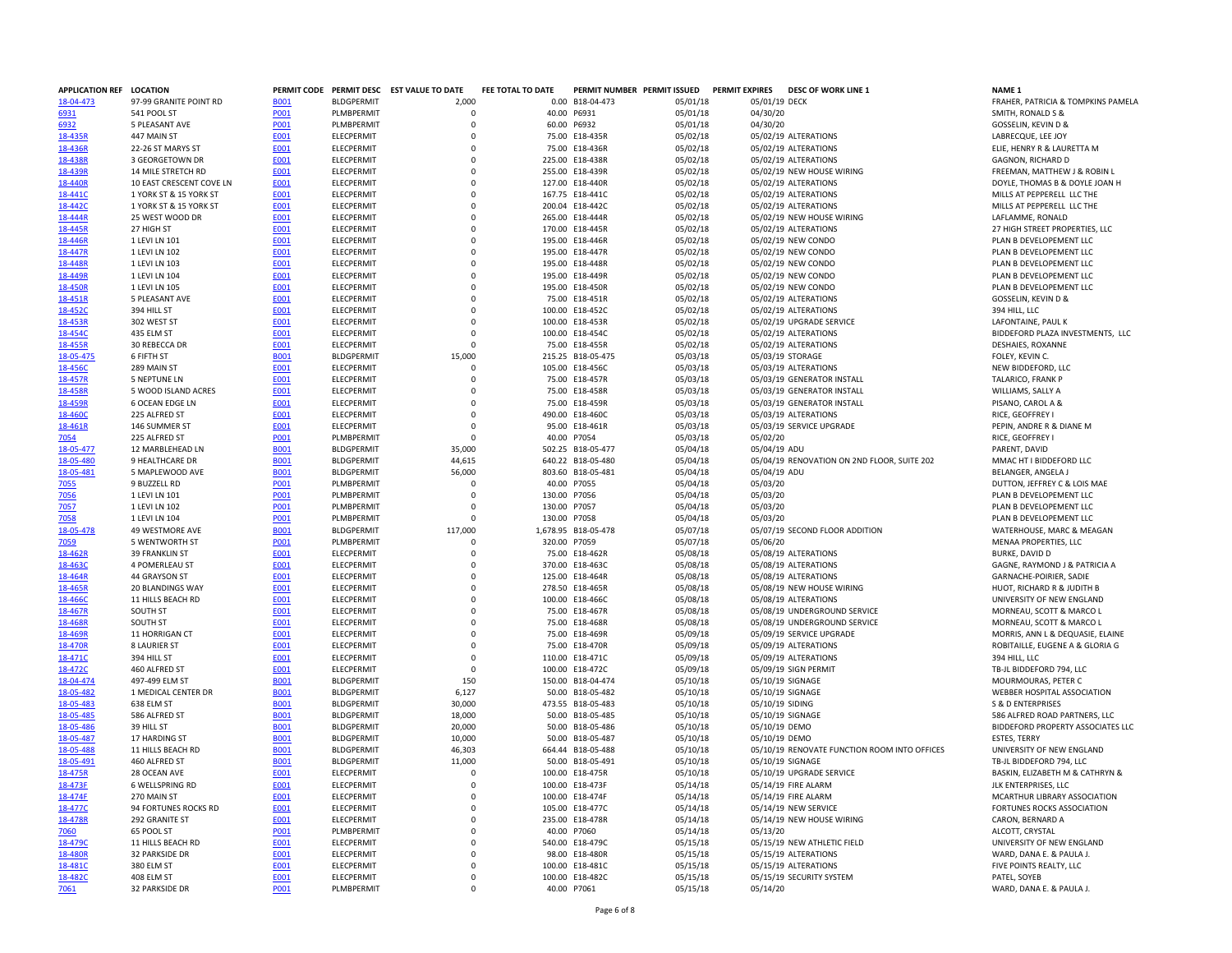| <b>APPLICATION REF</b> | <b>LOCATION</b>           |             |                   | PERMIT CODE PERMIT DESC EST VALUE TO DATE | FEE TOTAL TO DATE |                     | PERMIT NUMBER PERMIT ISSUED | <b>PERMIT EXPIRES</b> | <b>DESC OF WORK LINE 1</b>                   | <b>NAME 1</b>                      |
|------------------------|---------------------------|-------------|-------------------|-------------------------------------------|-------------------|---------------------|-----------------------------|-----------------------|----------------------------------------------|------------------------------------|
| 18-04-473              | 97-99 GRANITE POINT RD    | <b>B001</b> | <b>BLDGPERMIT</b> | 2,000                                     |                   | 0.00 B18-04-473     | 05/01/18                    | 05/01/19 DECK         |                                              | FRAHER, PATRICIA & TOMPKINS PAMELA |
| 6931                   | 541 POOL ST               | P001        | PLMBPERMIT        | O                                         |                   | 40.00 P6931         | 05/01/18                    | 04/30/20              |                                              | SMITH, RONALD S &                  |
| 6932                   | 5 PLEASANT AVE            | P001        | PLMBPERMIT        | $\Omega$                                  |                   | 60.00 P6932         | 05/01/18                    | 04/30/20              |                                              | GOSSELIN, KEVIN D &                |
| 18-435R                | 447 MAIN ST               | E001        | ELECPERMIT        | $\Omega$                                  |                   | 75.00 E18-435R      | 05/02/18                    |                       | 05/02/19 ALTERATIONS                         | LABRECQUE, LEE JOY                 |
| 18-436R                | 22-26 ST MARYS ST         | E001        | <b>ELECPERMIT</b> | $\Omega$                                  |                   | 75.00 E18-436R      | 05/02/18                    |                       | 05/02/19 ALTERATIONS                         | ELIE, HENRY R & LAURETTA M         |
|                        |                           |             |                   |                                           |                   |                     |                             |                       |                                              |                                    |
| 18-438R                | 3 GEORGETOWN DR           | E001        | ELECPERMIT        | $\Omega$                                  |                   | 225.00 E18-438R     | 05/02/18                    |                       | 05/02/19 ALTERATIONS                         | GAGNON, RICHARD D                  |
| 18-439R                | <b>14 MILE STRETCH RD</b> | <b>E001</b> | ELECPERMIT        | $\mathbf 0$                               |                   | 255.00 E18-439R     | 05/02/18                    |                       | 05/02/19 NEW HOUSE WIRING                    | FREEMAN, MATTHEW J & ROBIN L       |
| 18-440R                | 10 EAST CRESCENT COVE LN  | <b>E001</b> | ELECPERMIT        | $\Omega$                                  |                   | 127.00 E18-440R     | 05/02/18                    |                       | 05/02/19 ALTERATIONS                         | DOYLE, THOMAS B & DOYLE JOAN H     |
| 18-441C                | 1 YORK ST & 15 YORK ST    | E001        | <b>ELECPERMIT</b> | $\Omega$                                  |                   | 167.75 E18-441C     | 05/02/18                    |                       | 05/02/19 ALTERATIONS                         | MILLS AT PEPPERELL LLC THE         |
| 18-442C                | 1 YORK ST & 15 YORK ST    | E001        | ELECPERMIT        | $\Omega$                                  |                   | 200.04 E18-442C     | 05/02/18                    |                       | 05/02/19 ALTERATIONS                         | MILLS AT PEPPERELL LLC THE         |
| 18-444R                | 25 WEST WOOD DR           | E001        | ELECPERMIT        | $\mathbf 0$                               |                   | 265.00 E18-444R     | 05/02/18                    |                       | 05/02/19 NEW HOUSE WIRING                    | LAFLAMME, RONALD                   |
| 18-445R                | 27 HIGH ST                | E001        | ELECPERMIT        | 0                                         |                   | 170.00 E18-445R     | 05/02/18                    |                       | 05/02/19 ALTERATIONS                         | 27 HIGH STREET PROPERTIES, LLC     |
|                        |                           |             |                   |                                           |                   |                     |                             |                       |                                              |                                    |
| 18-446R                | 1 LEVI LN 101             | E001        | <b>ELECPERMIT</b> | $\Omega$                                  |                   | 195.00 E18-446R     | 05/02/18                    |                       | 05/02/19 NEW CONDO                           | PLAN B DEVELOPEMENT LLC            |
| 18-447R                | 1 LEVI LN 102             | <b>E001</b> | ELECPERMIT        | $\mathbf 0$                               |                   | 195.00 E18-447R     | 05/02/18                    |                       | 05/02/19 NEW CONDO                           | PLAN B DEVELOPEMENT LLC            |
| 18-448R                | 1 LEVI LN 103             | E001        | ELECPERMIT        | $\mathbf 0$                               |                   | 195.00 E18-448R     | 05/02/18                    |                       | 05/02/19 NEW CONDO                           | PLAN B DEVELOPEMENT LLC            |
| 18-449R                | 1 LEVI LN 104             | E001        | ELECPERMIT        | 0                                         |                   | 195.00 E18-449R     | 05/02/18                    |                       | 05/02/19 NEW CONDO                           | PLAN B DEVELOPEMENT LLC            |
| 18-450R                | 1 LEVI LN 105             | E001        | <b>ELECPERMIT</b> | $\Omega$                                  |                   | 195.00 E18-450R     | 05/02/18                    |                       | 05/02/19 NEW CONDO                           | PLAN B DEVELOPEMENT LLC            |
| 18-451R                | 5 PLEASANT AVE            | E001        | ELECPERMIT        | $\Omega$                                  |                   | 75.00 E18-451R      | 05/02/18                    |                       | 05/02/19 ALTERATIONS                         | GOSSELIN, KEVIN D &                |
|                        |                           |             |                   | 0                                         |                   |                     |                             |                       |                                              |                                    |
| 18-452C                | 394 HILL ST               | E001        | ELECPERMIT        |                                           |                   | 100.00 E18-452C     | 05/02/18                    |                       | 05/02/19 ALTERATIONS                         | 394 HILL, LLC                      |
| 18-453R                | 302 WEST ST               | E001        | ELECPERMIT        | $\mathbf 0$                               |                   | 100.00 E18-453R     | 05/02/18                    |                       | 05/02/19 UPGRADE SERVICE                     | LAFONTAINE, PAUL K                 |
| 18-454C                | 435 ELM ST                | E001        | ELECPERMIT        | $\Omega$                                  |                   | 100.00 E18-454C     | 05/02/18                    |                       | 05/02/19 ALTERATIONS                         | BIDDEFORD PLAZA INVESTMENTS, LLC   |
| 18-455R                | 30 REBECCA DR             | E001        | ELECPERMIT        | 0                                         |                   | 75.00 E18-455R      | 05/02/18                    |                       | 05/02/19 ALTERATIONS                         | DESHAIES, ROXANNE                  |
| 18-05-475              | 6 FIFTH ST                | <b>B001</b> | <b>BLDGPERMIT</b> | 15,000                                    |                   | 215.25 B18-05-475   | 05/03/18                    |                       | 05/03/19 STORAGE                             | FOLEY, KEVIN C.                    |
| 18-456C                | 289 MAIN ST               | E001        | ELECPERMIT        | $\Omega$                                  |                   | 105.00 E18-456C     | 05/03/18                    |                       | 05/03/19 ALTERATIONS                         | NEW BIDDEFORD, LLC                 |
|                        | <b>5 NEPTUNE LN</b>       |             |                   | $\Omega$                                  |                   |                     |                             |                       | 05/03/19 GENERATOR INSTALL                   |                                    |
| 18-457R                |                           | E001        | ELECPERMIT        |                                           |                   | 75.00 E18-457R      | 05/03/18                    |                       |                                              | TALARICO, FRANK P                  |
| 18-458R                | 5 WOOD ISLAND ACRES       | E001        | <b>ELECPERMIT</b> | $\Omega$                                  |                   | 75.00 E18-458R      | 05/03/18                    |                       | 05/03/19 GENERATOR INSTALL                   | WILLIAMS, SALLY A                  |
| 18-459R                | <b>6 OCEAN EDGE LN</b>    | E001        | ELECPERMIT        | $\Omega$                                  |                   | 75.00 E18-459R      | 05/03/18                    |                       | 05/03/19 GENERATOR INSTALL                   | PISANO, CAROL A &                  |
| 18-460C                | 225 ALFRED ST             | E001        | ELECPERMIT        | $\mathbf 0$                               |                   | 490.00 E18-460C     | 05/03/18                    |                       | 05/03/19 ALTERATIONS                         | RICE, GEOFFREY I                   |
| 18-461R                | 146 SUMMER ST             | E001        | ELECPERMIT        | $\Omega$                                  |                   | 95.00 E18-461R      | 05/03/18                    |                       | 05/03/19 SERVICE UPGRADE                     | PEPIN, ANDRE R & DIANE M           |
| 7054                   | 225 ALFRED ST             | P001        | PLMBPERMIT        | 0                                         |                   | 40.00 P7054         | 05/03/18                    | 05/02/20              |                                              | RICE, GEOFFREY I                   |
| 18-05-477              | 12 MARBLEHEAD LN          | <b>B001</b> | <b>BLDGPERMIT</b> | 35,000                                    |                   | 502.25 B18-05-477   | 05/04/18                    | 05/04/19 ADU          |                                              | PARENT, DAVID                      |
|                        |                           |             |                   |                                           |                   |                     |                             |                       |                                              |                                    |
| 18-05-480              | 9 HEALTHCARE DR           | <b>B001</b> | <b>BLDGPERMIT</b> | 44,615                                    |                   | 640.22 B18-05-480   | 05/04/18                    |                       | 05/04/19 RENOVATION ON 2ND FLOOR, SUITE 202  | MMAC HT I BIDDEFORD LLC            |
| 18-05-481              | 5 MAPLEWOOD AVE           | <b>B001</b> | <b>BLDGPERMIT</b> | 56,000                                    |                   | 803.60 B18-05-481   | 05/04/18                    | 05/04/19 ADU          |                                              | BELANGER, ANGELA J                 |
| 7055                   | 9 BUZZELL RD              | <b>P001</b> | PLMBPERMIT        | $\Omega$                                  |                   | 40.00 P7055         | 05/04/18                    | 05/03/20              |                                              | DUTTON, JEFFREY C & LOIS MAE       |
| 7056                   | 1 LEVI LN 101             | <b>PO01</b> | PLMBPERMIT        | $\Omega$                                  | 130.00 P7056      |                     | 05/04/18                    | 05/03/20              |                                              | PLAN B DEVELOPEMENT LLC            |
| 7057                   | 1 LEVI LN 102             | <b>PO01</b> | PLMBPERMIT        | $\Omega$                                  | 130.00 P7057      |                     | 05/04/18                    | 05/03/20              |                                              | PLAN B DEVELOPEMENT LLC            |
| 7058                   | 1 LEVI LN 104             | <b>PO01</b> | PLMBPERMIT        | $\Omega$                                  | 130.00 P7058      |                     | 05/04/18                    | 05/03/20              |                                              | PLAN B DEVELOPEMENT LLC            |
| 18-05-478              | 49 WESTMORE AVE           | <b>B001</b> | <b>BLDGPERMIT</b> | 117,000                                   |                   | 1,678.95 B18-05-478 | 05/07/18                    |                       | 05/07/19 SECOND FLOOR ADDITION               | WATERHOUSE, MARC & MEAGAN          |
|                        |                           |             |                   |                                           |                   |                     |                             |                       |                                              |                                    |
| 7059                   | 5 WENTWORTH ST            | <b>PO01</b> | <b>PLMBPERMIT</b> | $\Omega$                                  | 320.00 P7059      |                     | 05/07/18                    | 05/06/20              |                                              | MENAA PROPERTIES, LLC              |
| 18-462R                | <b>39 FRANKLIN ST</b>     | E001        | ELECPERMIT        | $\Omega$                                  |                   | 75.00 E18-462R      | 05/08/18                    |                       | 05/08/19 ALTERATIONS                         | <b>BURKE, DAVID D</b>              |
| 18-463C                | 4 POMERLEAU ST            | E001        | ELECPERMIT        | $\Omega$                                  |                   | 370.00 E18-463C     | 05/08/18                    |                       | 05/08/19 ALTERATIONS                         | GAGNE, RAYMOND J & PATRICIA A      |
| 18-464R                | 44 GRAYSON ST             | E001        | ELECPERMIT        | $\Omega$                                  |                   | 125.00 E18-464R     | 05/08/18                    |                       | 05/08/19 ALTERATIONS                         | GARNACHE-POIRIER, SADIE            |
| 18-465R                | 20 BLANDINGS WAY          | E001        | ELECPERMIT        | $\Omega$                                  |                   | 278.50 E18-465R     | 05/08/18                    |                       | 05/08/19 NEW HOUSE WIRING                    | HUOT, RICHARD R & JUDITH B         |
| 18-466C                | 11 HILLS BEACH RD         | <b>E001</b> | ELECPERMIT        | $\mathbf 0$                               |                   | 100.00 E18-466C     | 05/08/18                    |                       | 05/08/19 ALTERATIONS                         | UNIVERSITY OF NEW ENGLAND          |
| 18-467R                | SOUTH ST                  | <b>E001</b> | ELECPERMIT        | 0                                         |                   | 75.00 E18-467R      | 05/08/18                    |                       | 05/08/19 UNDERGROUND SERVICE                 | MORNEAU, SCOTT & MARCO L           |
|                        |                           |             |                   |                                           |                   |                     |                             |                       |                                              |                                    |
| 18-468R                | SOUTH ST                  | <b>E001</b> | ELECPERMIT        | $\Omega$                                  |                   | 75.00 E18-468R      | 05/08/18                    |                       | 05/08/19 UNDERGROUND SERVICE                 | MORNEAU, SCOTT & MARCO L           |
| 18-469R                | 11 HORRIGAN CT            | E001        | ELECPERMIT        | $\Omega$                                  |                   | 75.00 E18-469R      | 05/09/18                    |                       | 05/09/19 SERVICE UPGRADE                     | MORRIS, ANN L & DEQUASIE, ELAINE   |
| 18-470R                | 8 LAURIER ST              | E001        | ELECPERMIT        | $\mathbf 0$                               |                   | 75.00 E18-470R      | 05/09/18                    |                       | 05/09/19 ALTERATIONS                         | ROBITAILLE, EUGENE A & GLORIA G    |
| 18-471C                | 394 HILL ST               | E001        | ELECPERMIT        | $\mathbf 0$                               |                   | 110.00 E18-471C     | 05/09/18                    |                       | 05/09/19 ALTERATIONS                         | 394 HILL, LLC                      |
| 18-472C                | 460 ALFRED ST             | E001        | ELECPERMIT        | $\Omega$                                  |                   | 100.00 E18-472C     | 05/09/18                    |                       | 05/09/19 SIGN PERMIT                         | TB-JL BIDDEFORD 794, LLC           |
| 18-04-474              | 497-499 ELM ST            | <b>B001</b> | <b>BLDGPERMIT</b> | 150                                       |                   | 150.00 B18-04-474   | 05/10/18                    |                       | 05/10/19 SIGNAGE                             | MOURMOURAS, PETER C                |
| 18-05-482              | 1 MEDICAL CENTER DR       | <b>BOO1</b> | <b>BLDGPERMIT</b> | 6,127                                     |                   | 50.00 B18-05-482    | 05/10/18                    |                       | 05/10/19 SIGNAGE                             | WEBBER HOSPITAL ASSOCIATION        |
|                        |                           |             |                   |                                           |                   |                     |                             |                       |                                              |                                    |
| 18-05-483              | 638 ELM ST                | <b>B001</b> | <b>BLDGPERMIT</b> | 30,000                                    |                   | 473.55 B18-05-483   | 05/10/18                    |                       | 05/10/19 SIDING                              | S & D ENTERPRISES                  |
| 18-05-485              | 586 ALFRED ST             | <b>B001</b> | <b>BLDGPFRMIT</b> | 18,000                                    |                   | 50.00 B18-05-485    | 05/10/18                    |                       | 05/10/19 SIGNAGE                             | 586 ALFRED ROAD PARTNERS. LLC      |
| 18-05-486              | 39 HILL ST                | <b>B001</b> | <b>BLDGPERMIT</b> | 20,000                                    |                   | 50.00 B18-05-486    | 05/10/18                    | 05/10/19 DEMO         |                                              | BIDDEFORD PROPERTY ASSOCIATES LLC  |
| 18-05-487              | 17 HARDING ST             | <b>B001</b> | <b>BLDGPERMIT</b> | 10,000                                    |                   | 50.00 B18-05-487    | 05/10/18                    | 05/10/19 DEMO         |                                              | ESTES, TERRY                       |
| 18-05-488              | 11 HILLS BEACH RD         | <b>B001</b> | <b>BLDGPERMIT</b> | 46,303                                    |                   | 664.44 B18-05-488   | 05/10/18                    |                       | 05/10/19 RENOVATE FUNCTION ROOM INTO OFFICES | UNIVERSITY OF NEW ENGLAND          |
| 18-05-491              | 460 ALFRED ST             | <b>B001</b> | <b>BLDGPERMIT</b> | 11,000                                    |                   | 50.00 B18-05-491    | 05/10/18                    |                       | 05/10/19 SIGNAGE                             | TB-JL BIDDEFORD 794, LLC           |
| 18-475R                | 28 OCEAN AVE              | <b>E001</b> | <b>ELECPERMIT</b> | 0                                         |                   | 100.00 E18-475R     | 05/10/18                    |                       | 05/10/19 UPGRADE SERVICE                     | BASKIN, ELIZABETH M & CATHRYN &    |
|                        |                           |             |                   |                                           |                   |                     |                             |                       |                                              |                                    |
| 18-473F                | 6 WELLSPRING RD           | E001        | ELECPERMIT        | 0                                         |                   | 100.00 E18-473F     | 05/14/18                    |                       | 05/14/19 FIRE ALARM                          | JLK ENTERPRISES, LLC               |
| 18-474F                | 270 MAIN ST               | E001        | ELECPERMIT        | $\Omega$                                  |                   | 100.00 E18-474F     | 05/14/18                    |                       | 05/14/19 FIRE ALARM                          | MCARTHUR LIBRARY ASSOCIATION       |
| 18-477C                | 94 FORTUNES ROCKS RD      | E001        | ELECPERMIT        | $\Omega$                                  |                   | 105.00 E18-477C     | 05/14/18                    |                       | 05/14/19 NEW SERVICE                         | FORTUNES ROCKS ASSOCIATION         |
| 18-478R                | 292 GRANITE ST            | <b>E001</b> | ELECPERMIT        | $\Omega$                                  |                   | 235.00 E18-478R     | 05/14/18                    |                       | 05/14/19 NEW HOUSE WIRING                    | CARON, BERNARD A                   |
| 7060                   | 65 POOL ST                | <b>PO01</b> | PLMBPERMIT        | 0                                         |                   | 40.00 P7060         | 05/14/18                    | 05/13/20              |                                              | ALCOTT, CRYSTAL                    |
| 18-479C                | 11 HILLS BEACH RD         | E001        | ELECPERMIT        | Ó                                         |                   | 540.00 E18-479C     | 05/15/18                    |                       | 05/15/19 NEW ATHLETIC FIELD                  | UNIVERSITY OF NEW ENGLAND          |
| 18-480R                |                           |             |                   | $\Omega$                                  |                   |                     |                             |                       |                                              |                                    |
|                        | 32 PARKSIDE DR            | <b>E001</b> | ELECPERMIT        |                                           |                   | 98.00 E18-480R      | 05/15/18                    |                       | 05/15/19 ALTERATIONS                         | WARD, DANA E. & PAULA J.           |
| 18-481C                | 380 ELM ST                | E001        | ELECPERMIT        | $\Omega$                                  |                   | 100.00 E18-481C     | 05/15/18                    |                       | 05/15/19 ALTERATIONS                         | FIVE POINTS REALTY, LLC            |
| 18-482C                | 408 ELM ST                | E001        | ELECPERMIT        | $\Omega$                                  |                   | 100.00 E18-482C     | 05/15/18                    |                       | 05/15/19 SECURITY SYSTEM                     | PATEL, SOYEB                       |
| 7061                   | 32 PARKSIDE DR            | <b>PO01</b> | PLMBPERMIT        | $\Omega$                                  |                   | 40.00 P7061         | 05/15/18                    | 05/14/20              |                                              | WARD, DANA E. & PAULA J.           |
|                        |                           |             |                   |                                           |                   |                     |                             |                       |                                              |                                    |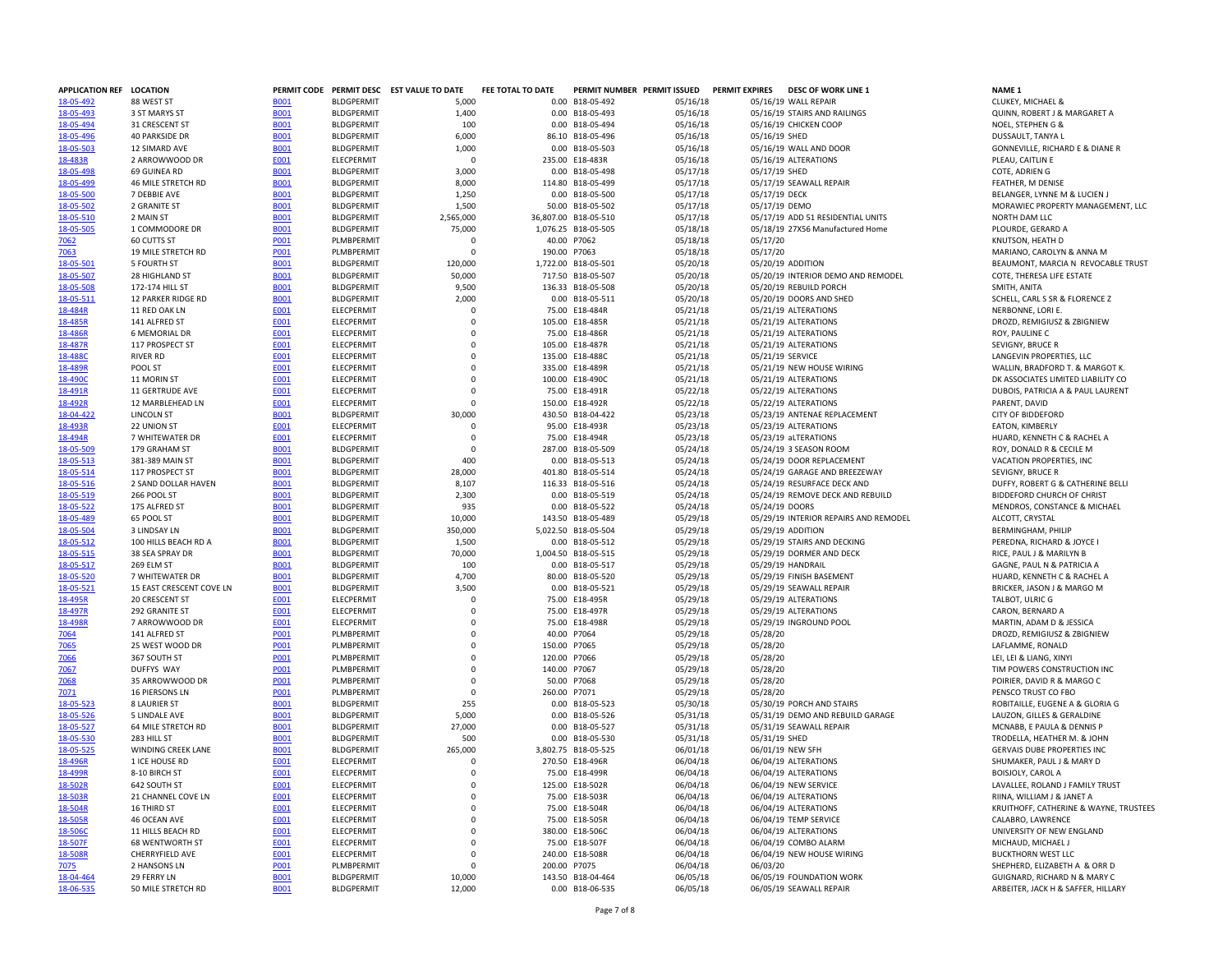| APPLICATION REF LOCATION |                           |             |                   | PERMIT CODE PERMIT DESC EST VALUE TO DATE | FEE TOTAL TO DATE | PERMIT NUMBER PERMIT ISSUED |          | <b>PERMIT EXPIRES</b> | <b>DESC OF WORK LINE 1</b>            | <b>NAME 1</b>                              |
|--------------------------|---------------------------|-------------|-------------------|-------------------------------------------|-------------------|-----------------------------|----------|-----------------------|---------------------------------------|--------------------------------------------|
| 18-05-492                | 88 WEST ST                | <b>B001</b> | <b>BLDGPERMIT</b> | 5,000                                     |                   | 0.00 B18-05-492             | 05/16/18 |                       | 05/16/19 WALL REPAIR                  | CLUKEY, MICHAEL &                          |
| 18-05-493                | 3 ST MARYS ST             | <b>B001</b> | <b>BLDGPERMIT</b> | 1,400                                     |                   | 0.00 B18-05-493             | 05/16/18 |                       | 05/16/19 STAIRS AND RAILINGS          | QUINN, ROBERT J & MARGARET A               |
| 18-05-494                | 31 CRESCENT ST            | <b>B001</b> | <b>BLDGPERMIT</b> | 100                                       |                   | 0.00 B18-05-494             | 05/16/18 |                       | 05/16/19 CHICKEN COOP                 | NOEL, STEPHEN G &                          |
| 18-05-496                | <b>40 PARKSIDE DR</b>     | <b>B001</b> | <b>BLDGPERMIT</b> | 6,000                                     |                   | 86.10 B18-05-496            | 05/16/18 | 05/16/19 SHED         |                                       | DUSSAULT, TANYA L                          |
| 18-05-503                | 12 SIMARD AVE             | <b>B001</b> | <b>BLDGPERMIT</b> | 1,000                                     |                   | 0.00 B18-05-503             | 05/16/18 |                       | 05/16/19 WALL AND DOOR                | <b>GONNEVILLE, RICHARD E &amp; DIANE R</b> |
| 18-483R                  | 2 ARROWWOOD DR            | E001        | ELECPERMIT        | 0                                         |                   | 235.00 E18-483R             | 05/16/18 |                       | 05/16/19 ALTERATIONS                  | PLEAU, CAITLIN E                           |
|                          |                           |             |                   |                                           |                   |                             |          |                       |                                       |                                            |
| 18-05-498                | 69 GUINEA RD              | <b>B001</b> | <b>BLDGPERMIT</b> | 3,000                                     |                   | 0.00 B18-05-498             | 05/17/18 | 05/17/19 SHED         |                                       | COTE, ADRIEN G                             |
| 18-05-499                | 46 MILE STRETCH RD        | <b>B001</b> | <b>BLDGPERMIT</b> | 8,000                                     |                   | 114.80 B18-05-499           | 05/17/18 |                       | 05/17/19 SEAWALL REPAIR               | FEATHER, M DENISE                          |
| 18-05-500                | 7 DEBBIE AVE              | <b>B001</b> | <b>BLDGPERMIT</b> | 1,250                                     |                   | 0.00 B18-05-500             | 05/17/18 | 05/17/19 DECK         |                                       | BELANGER, LYNNE M & LUCIEN J               |
| 18-05-502                | 2 GRANITE ST              | <b>B001</b> | <b>BLDGPERMIT</b> | 1,500                                     |                   | 50.00 B18-05-502            | 05/17/18 | 05/17/19 DEMO         |                                       | MORAWIEC PROPERTY MANAGEMEN                |
| 18-05-510                | 2 MAIN ST                 | <b>B001</b> | <b>BLDGPERMIT</b> | 2,565,000                                 |                   | 36,807.00 B18-05-510        | 05/17/18 |                       | 05/17/19 ADD 51 RESIDENTIAL UNITS     | NORTH DAM LLC                              |
| 18-05-505                | 1 COMMODORE DR            | <b>B001</b> | <b>BLDGPERMIT</b> | 75,000                                    |                   | 1,076.25 B18-05-505         | 05/18/18 |                       | 05/18/19 27X56 Manufactured Home      | PLOURDE, GERARD A                          |
| 7062                     | 60 CUTTS ST               | <b>PO01</b> | PLMBPERMIT        | $\Omega$                                  |                   | 40.00 P7062                 | 05/18/18 | 05/17/20              |                                       | KNUTSON, HEATH D                           |
| 7063                     | 19 MILE STRETCH RD        | P001        | PLMBPERMIT        | $\mathbf 0$                               | 190.00 P7063      |                             | 05/18/18 | 05/17/20              |                                       | MARIANO, CAROLYN & ANNA M                  |
|                          |                           |             |                   |                                           |                   |                             |          |                       |                                       |                                            |
| 18-05-501                | 5 FOURTH ST               | <b>B001</b> | <b>BLDGPERMIT</b> | 120,000                                   |                   | 1,722.00 B18-05-501         | 05/20/18 |                       | 05/20/19 ADDITION                     | BEAUMONT, MARCIA N REVOCABLE               |
| 18-05-507                | 28 HIGHLAND ST            | <b>B001</b> | <b>BLDGPERMIT</b> | 50,000                                    |                   | 717.50 B18-05-507           | 05/20/18 |                       | 05/20/19 INTERIOR DEMO AND REMODEL    | COTE. THERESA LIFE ESTATE                  |
| 18-05-508                | 172-174 HILL ST           | <b>B001</b> | <b>BLDGPERMIT</b> | 9,500                                     |                   | 136.33 B18-05-508           | 05/20/18 |                       | 05/20/19 REBUILD PORCH                | SMITH, ANITA                               |
| 18-05-511                | 12 PARKER RIDGE RD        | <b>B001</b> | <b>BLDGPERMIT</b> | 2,000                                     |                   | 0.00 B18-05-511             | 05/20/18 |                       | 05/20/19 DOORS AND SHED               | SCHELL, CARL S SR & FLORENCE Z             |
| 18-484R                  | 11 RED OAK LN             | E001        | ELECPERMIT        | $\mathbf 0$                               |                   | 75.00 E18-484R              | 05/21/18 |                       | 05/21/19 ALTERATIONS                  | NERBONNE, LORI E.                          |
| 18-485R                  | 141 ALFRED ST             | <b>E001</b> | ELECPERMIT        | $\Omega$                                  |                   | 105.00 E18-485R             | 05/21/18 |                       | 05/21/19 ALTERATIONS                  | DROZD, REMIGIUSZ & ZBIGNIEW                |
| 18-486R                  | <b>6 MEMORIAL DR</b>      | E001        | <b>ELECPERMIT</b> | $^{\circ}$                                |                   | 75.00 E18-486R              | 05/21/18 |                       | 05/21/19 ALTERATIONS                  | ROY, PAULINE C                             |
| 18-487R                  | 117 PROSPECT ST           | E001        | ELECPERMIT        | $\mathbf 0$                               |                   | 105.00 E18-487R             | 05/21/18 |                       | 05/21/19 ALTERATIONS                  | SEVIGNY, BRUCE R                           |
|                          |                           |             |                   |                                           |                   |                             |          |                       |                                       |                                            |
| 18-488C                  | <b>RIVER RD</b>           | E001        | ELECPERMIT        | $\mathbf 0$                               |                   | 135.00 E18-488C             | 05/21/18 |                       | 05/21/19 SERVICE                      | LANGEVIN PROPERTIES, LLC                   |
| 18-489R                  | POOL ST                   | E001        | ELECPERMIT        | $\Omega$                                  |                   | 335.00 E18-489R             | 05/21/18 |                       | 05/21/19 NEW HOUSE WIRING             | WALLIN, BRADFORD T. & MARGOT K             |
| 18-490C                  | 11 MORIN ST               | E001        | <b>ELECPERMIT</b> | $\Omega$                                  |                   | 100.00 E18-490C             | 05/21/18 |                       | 05/21/19 ALTERATIONS                  | DK ASSOCIATES LIMITED LIABILITY CO         |
| 18-491R                  | 11 GERTRUDE AVE           | E001        | ELECPERMIT        | $\mathbf 0$                               |                   | 75.00 E18-491R              | 05/22/18 |                       | 05/22/19 ALTERATIONS                  | DUBOIS, PATRICIA A & PAUL LAUREN           |
| 18-492R                  | 12 MARBLEHEAD LN          | E001        | <b>FLECPERMIT</b> | $\Omega$                                  |                   | 150.00 E18-492R             | 05/22/18 |                       | 05/22/19 ALTERATIONS                  | PARENT, DAVID                              |
| 18-04-422                | <b>LINCOLN ST</b>         | <b>B001</b> | <b>BLDGPERMIT</b> | 30,000                                    |                   | 430.50 B18-04-422           | 05/23/18 |                       | 05/23/19 ANTENAE REPLACEMENT          | <b>CITY OF BIDDEFORD</b>                   |
| 18-493R                  | 22 UNION ST               | E001        | <b>ELECPERMIT</b> | $^{\circ}$                                |                   | 95.00 E18-493R              | 05/23/18 |                       | 05/23/19 ALTERATIONS                  | EATON, KIMBERLY                            |
| 18-494R                  | 7 WHITEWATER DR           | E001        | ELECPERMIT        | $\mathbf 0$                               |                   | 75.00 E18-494R              | 05/23/18 |                       | 05/23/19 aLTERATIONS                  | HUARD, KENNETH C & RACHEL A                |
|                          |                           |             |                   |                                           |                   |                             |          |                       |                                       |                                            |
| 18-05-509                | 179 GRAHAM ST             | <b>B001</b> | <b>BLDGPERMIT</b> | $\Omega$                                  |                   | 287.00 B18-05-509           | 05/24/18 |                       | 05/24/19 3 SEASON ROOM                | ROY, DONALD R & CECILE M                   |
| 18-05-513                | 381-389 MAIN ST           | <b>B001</b> | <b>BLDGPERMIT</b> | 400                                       |                   | 0.00 B18-05-513             | 05/24/18 |                       | 05/24/19 DOOR REPLACEMENT             | VACATION PROPERTIES, INC                   |
| 18-05-514                | 117 PROSPECT ST           | <b>B001</b> | <b>BLDGPERMIT</b> | 28,000                                    |                   | 401.80 B18-05-514           | 05/24/18 |                       | 05/24/19 GARAGE AND BREEZEWAY         | SEVIGNY, BRUCE R                           |
| 18-05-516                | 2 SAND DOLLAR HAVEN       | <b>B001</b> | <b>BLDGPERMIT</b> | 8,107                                     |                   | 116.33 B18-05-516           | 05/24/18 |                       | 05/24/19 RESURFACE DECK AND           | DUFFY, ROBERT G & CATHERINE BELI           |
| 18-05-519                | 266 POOL ST               | <b>B001</b> | <b>BLDGPERMIT</b> | 2,300                                     |                   | 0.00 B18-05-519             | 05/24/18 |                       | 05/24/19 REMOVE DECK AND REBUILD      | BIDDEFORD CHURCH OF CHRIST                 |
| 18-05-522                | 175 ALFRED ST             | <b>B001</b> | <b>BLDGPERMIT</b> | 935                                       |                   | 0.00 B18-05-522             | 05/24/18 |                       | 05/24/19 DOORS                        | MENDROS, CONSTANCE & MICHAEL               |
| 18-05-489                | 65 POOL ST                | <b>B001</b> | <b>BLDGPERMIT</b> | 10,000                                    |                   | 143.50 B18-05-489           | 05/29/18 |                       | 05/29/19 INTERIOR REPAIRS AND REMODEL | ALCOTT, CRYSTAL                            |
| 18-05-504                | 3 LINDSAY LN              | <b>B001</b> | <b>BLDGPERMIT</b> | 350,000                                   |                   | 5,022.50 B18-05-504         | 05/29/18 |                       | 05/29/19 ADDITION                     | <b>BERMINGHAM, PHILIP</b>                  |
|                          |                           |             |                   |                                           |                   |                             |          |                       |                                       |                                            |
| 18-05-512                | 100 HILLS BEACH RD A      | <b>B001</b> | <b>BLDGPERMIT</b> | 1,500                                     |                   | 0.00 B18-05-512             | 05/29/18 |                       | 05/29/19 STAIRS AND DECKING           | PEREDNA, RICHARD & JOYCE I                 |
| 18-05-515                | 38 SEA SPRAY DR           | <b>B001</b> | <b>BLDGPERMIT</b> | 70,000                                    |                   | 1,004.50 B18-05-515         | 05/29/18 |                       | 05/29/19 DORMER AND DECK              | RICE, PAUL J & MARILYN B                   |
| 18-05-517                | 269 ELM ST                | <b>B001</b> | <b>BLDGPERMIT</b> | 100                                       |                   | 0.00 B18-05-517             | 05/29/18 |                       | 05/29/19 HANDRAIL                     | GAGNE, PAUL N & PATRICIA A                 |
| 18-05-520                | 7 WHITEWATER DR           | <b>B001</b> | <b>BLDGPERMIT</b> | 4,700                                     |                   | 80.00 B18-05-520            | 05/29/18 |                       | 05/29/19 FINISH BASEMENT              | HUARD, KENNETH C & RACHEL A                |
| 18-05-521                | 15 EAST CRESCENT COVE LN  | <b>B001</b> | <b>BLDGPERMIT</b> | 3,500                                     |                   | 0.00 B18-05-521             | 05/29/18 |                       | 05/29/19 SEAWALL REPAIR               | BRICKER, JASON J & MARGO M                 |
| 18-495R                  | 20 CRESCENT ST            | E001        | ELECPERMIT        | $\Omega$                                  |                   | 75.00 E18-495R              | 05/29/18 |                       | 05/29/19 ALTERATIONS                  | TALBOT, ULRIC G                            |
| 18-497R                  | 292 GRANITE ST            | E001        | <b>ELECPERMIT</b> | $\Omega$                                  |                   | 75.00 E18-497R              | 05/29/18 |                       | 05/29/19 ALTERATIONS                  | CARON, BERNARD A                           |
| 18-498R                  | 7 ARROWWOOD DR            | <b>E001</b> | ELECPERMIT        | $\Omega$                                  |                   | 75.00 E18-498R              | 05/29/18 |                       | 05/29/19 INGROUND POOL                | MARTIN, ADAM D & JESSICA                   |
|                          |                           |             |                   |                                           |                   |                             |          |                       |                                       |                                            |
| 7064                     | 141 ALFRED ST             | <b>PO01</b> | PLMBPERMIT        | $\mathbf 0$                               |                   | 40.00 P7064                 | 05/29/18 | 05/28/20              |                                       | DROZD, REMIGIUSZ & ZBIGNIEW                |
| 7065                     | 25 WEST WOOD DR           | <b>PO01</b> | PLMBPERMIT        | $\Omega$                                  | 150.00 P7065      |                             | 05/29/18 | 05/28/20              |                                       | LAFLAMME, RONALD                           |
| 7066                     | 367 SOUTH ST              | <b>PO01</b> | PLMBPERMIT        | $\Omega$                                  | 120.00 P7066      |                             | 05/29/18 | 05/28/20              |                                       | LEI, LEI & LIANG, XINYI                    |
| 7067                     | DUFFYS WAY                | P001        | PLMBPERMIT        | $\mathbf 0$                               | 140.00 P7067      |                             | 05/29/18 | 05/28/20              |                                       | TIM POWERS CONSTRUCTION INC                |
| 7068                     | 35 ARROWWOOD DR           | P001        | PLMBPERMIT        | $\mathbf 0$                               |                   | 50.00 P7068                 | 05/29/18 | 05/28/20              |                                       | POIRIER, DAVID R & MARGO C                 |
| 7071                     | <b>16 PIERSONS LN</b>     | P001        | PLMBPERMIT        | $\Omega$                                  | 260.00 P7071      |                             | 05/29/18 | 05/28/20              |                                       | PENSCO TRUST CO FBO                        |
| 18-05-523                | 8 LAURIER ST              | <b>B001</b> | <b>BLDGPERMIT</b> | 255                                       |                   | 0.00 B18-05-523             | 05/30/18 |                       | 05/30/19 PORCH AND STAIRS             | ROBITAILLE, EUGENE A & GLORIA G            |
| 18-05-526                | 5 LINDALE AVE             | <b>B001</b> | <b>BLDGPERMIT</b> | 5,000                                     |                   | 0.00 B18-05-526             | 05/31/18 |                       | 05/31/19 DEMO AND REBUILD GARAGE      | LAUZON, GILLES & GERALDINE                 |
|                          |                           |             |                   |                                           |                   |                             |          |                       |                                       |                                            |
| 18-05-527                | 64 MILE STRETCH RD        | <b>B001</b> | <b>BLDGPERMIT</b> | 27,000                                    |                   | 0.00 B18-05-527             | 05/31/18 |                       | 05/31/19 SEAWALL REPAIR               | MCNABB, E PAULA & DENNIS P                 |
| 18-05-530                | 283 HILL ST               | <b>B001</b> | <b>BLDGPERMIT</b> | 500                                       |                   | 0.00 B18-05-530             | 05/31/18 | 05/31/19 SHED         |                                       | TRODELLA, HEATHER M. & JOHN                |
| 18-05-525                | <b>WINDING CREEK LANE</b> | <b>B001</b> | <b>BLDGPERMIT</b> | 265,000                                   |                   | 3,802.75 B18-05-525         | 06/01/18 |                       | 06/01/19 NEW SFH                      | <b>GERVAIS DUBE PROPERTIES INC</b>         |
| 18-496R                  | 1 ICE HOUSE RD            | <b>E001</b> | ELECPERMIT        | $\mathbf 0$                               |                   | 270.50 E18-496R             | 06/04/18 |                       | 06/04/19 ALTERATIONS                  | SHUMAKER, PAUL J & MARY D                  |
| 18-499R                  | 8-10 BIRCH ST             | E001        | ELECPERMIT        | $^{\circ}$                                |                   | 75.00 E18-499R              | 06/04/18 |                       | 06/04/19 ALTERATIONS                  | BOISJOLY, CAROL A                          |
| 18-502R                  | 642 SOUTH ST              | E001        | <b>ELECPERMIT</b> | $\Omega$                                  |                   | 125.00 E18-502R             | 06/04/18 |                       | 06/04/19 NEW SERVICE                  | LAVALLEE, ROLAND J FAMILY TRUST            |
| <u>18-503R</u>           | 21 CHANNEL COVE LN        | <b>E001</b> | <b>ELECPERMIT</b> | $\Omega$                                  |                   | 75.00 E18-503R              | 06/04/18 |                       | 06/04/19 ALTERATIONS                  | RIINA, WILLIAM J & JANET A                 |
| 18-504R                  | 16 THIRD ST               | E001        | ELECPERMIT        | $\mathbf 0$                               |                   | 75.00 E18-504R              | 06/04/18 |                       | 06/04/19 ALTERATIONS                  | KRUITHOFF, CATHERINE & WAYNE, T            |
|                          |                           |             |                   |                                           |                   |                             |          |                       |                                       |                                            |
| 18-505R                  | 46 OCEAN AVE              | E001        | ELECPERMIT        | $\mathbf 0$                               |                   | 75.00 E18-505R              | 06/04/18 |                       | 06/04/19 TEMP SERVICE                 | CALABRO, LAWRENCE                          |
| 18-506C                  | 11 HILLS BEACH RD         | <b>E001</b> | ELECPERMIT        | $\mathbf 0$                               |                   | 380.00 E18-506C             | 06/04/18 |                       | 06/04/19 ALTERATIONS                  | UNIVERSITY OF NEW ENGLAND                  |
| 18-507F                  | <b>68 WENTWORTH ST</b>    | E001        | <b>ELECPERMIT</b> | 0                                         |                   | 75.00 E18-507F              | 06/04/18 |                       | 06/04/19 COMBO ALARM                  | MICHAUD, MICHAEL J                         |
| 18-508R                  | CHERRYFIELD AVE           | E001        | ELECPERMIT        | $\mathbf 0$                               |                   | 240.00 E18-508R             | 06/04/18 |                       | 06/04/19 NEW HOUSE WIRING             | <b>BUCKTHORN WEST LLC</b>                  |
| 7075                     | 2 HANSONS LN              | <b>PO01</b> | PLMBPERMIT        | $\Omega$                                  | 200.00 P7075      |                             | 06/04/18 | 06/03/20              |                                       | SHEPHERD, ELIZABETH A & ORR D              |
| 18-04-464                | 29 FERRY LN               | <b>B001</b> | <b>BLDGPERMIT</b> | 10,000                                    |                   | 143.50 B18-04-464           | 06/05/18 |                       | 06/05/19 FOUNDATION WORK              | GUIGNARD, RICHARD N & MARY C               |
| 18-06-535                | 50 MILE STRETCH RD        | <b>B001</b> | <b>BLDGPERMIT</b> | 12,000                                    |                   | 0.00 B18-06-535             | 06/05/18 |                       | 06/05/19 SEAWALL REPAIR               | ARBEITER, JACK H & SAFFER, HILLARY         |
|                          |                           |             |                   |                                           |                   |                             |          |                       |                                       |                                            |